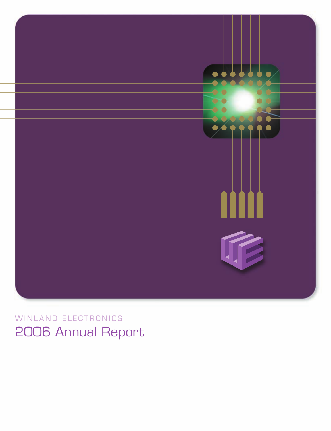

WINLAND ELECTRONICS 2006 Annual Report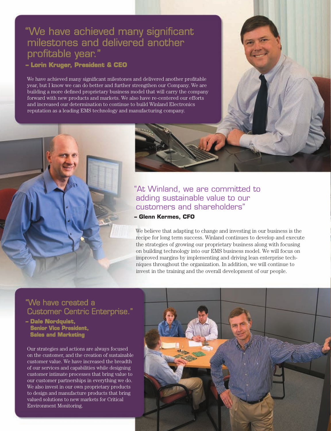# "We have achieved many significant milestones and delivered another profitable year."

# **– Lorin Kruger, President & CEO CEO**

We have achieved many significant milestones and delivered another profitable year, but I know we can do better and further strengthen our Company. We are building a more defined proprietary business model that will carry the company forward with new products and markets. We also have re-centered our efforts and increased our determination to continue to build Winland Electronics reputation as a leading EMS technology and manufacturing company.





# **– Glenn Kermes, CFO**

We believe that adapting to change and investing in our business is the recipe for long term success. Winland continues to develop and execute the strategies of growing our proprietary business along with focusing on building technology into our EMS business model. We will focus on improved margins by implementing and driving lean enterprise techniques throughout the organization. In addition, we will continue to invest in the training and the overall development of our people.

# "We have created a Customer Centric Enterprise."

**– Dale Nordquist, Senior Vice President, Sales and Marketing** 

Our strategies and actions are always focused on the customer, and the creation of sustainable customer value. We have increased the breadth of our services and capabilities while designing customer intimate processes that bring value to our customer partnerships in everything we do. We also invest in our own proprietary products to design and manufacture products that bring valued solutions to new markets for Critical Environment Monitoring.

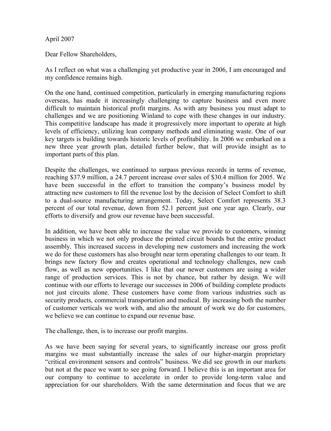April 2007

Dear Fellow Shareholders,

As I reflect on what was a challenging yet productive year in 2006, I am encouraged and my confidence remains high.

On the one hand, continued competition, particularly in emerging manufacturing regions overseas, has made it increasingly challenging to capture business and even more difficult to maintain historical profit margins. As with any business you must adapt to challenges and we are positioning Winland to cope with these changes in our industry. This competitive landscape has made it progressively more important to operate at high levels of efficiency, utilizing lean company methods and eliminating waste. One of our key targets is building towards historic levels of profitability. In 2006 we embarked on a new three year growth plan, detailed further below, that will provide insight as to important parts of this plan.

Despite the challenges, we continued to surpass previous records in terms of revenue, reaching \$37.9 million, a 24.7 percent increase over sales of \$30.4 million for 2005. We have been successful in the effort to transition the company's business model by attracting new customers to fill the revenue lost by the decision of Select Comfort to shift to a dual-source manufacturing arrangement. Today, Select Comfort represents 38.3 percent of our total revenue, down from 52.1 percent just one year ago. Clearly, our efforts to diversify and grow our revenue have been successful.

In addition, we have been able to increase the value we provide to customers, winning business in which we not only produce the printed circuit boards but the entire product assembly. This increased success in developing new customers and increasing the work we do for these customers has also brought near term operating challenges to our team. It brings new factory flow and creates operational and technology challenges, new cash flow, as well as new opportunities. I like that our newer customers are using a wider range of production services. This is not by chance, but rather by design. We will continue with our efforts to leverage our successes in 2006 of building complete products not just circuits alone. These customers have come from various industries such as security products, commercial transportation and medical. By increasing both the number of customer verticals we work with, and also the amount of work we do for customers, we believe we can continue to expand our revenue base.

The challenge, then, is to increase our profit margins.

As we have been saying for several years, to significantly increase our gross profit margins we must substantially increase the sales of our higher-margin proprietary "critical environment sensors and controls" business. We did see growth in our markets but not at the pace we want to see going forward. I believe this is an important area for our company to continue to accelerate in order to provide long-term value and appreciation for our shareholders. With the same determination and focus that we are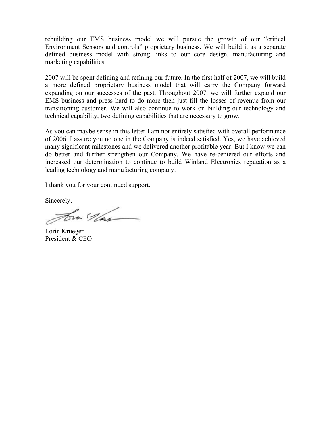rebuilding our EMS business model we will pursue the growth of our "critical Environment Sensors and controls" proprietary business. We will build it as a separate defined business model with strong links to our core design, manufacturing and marketing capabilities.

2007 will be spent defining and refining our future. In the first half of 2007, we will build a more defined proprietary business model that will carry the Company forward expanding on our successes of the past. Throughout 2007, we will further expand our EMS business and press hard to do more then just fill the losses of revenue from our transitioning customer. We will also continue to work on building our technology and technical capability, two defining capabilities that are necessary to grow.

As you can maybe sense in this letter I am not entirely satisfied with overall performance of 2006. I assure you no one in the Company is indeed satisfied. Yes, we have achieved many significant milestones and we delivered another profitable year. But I know we can do better and further strengthen our Company. We have re-centered our efforts and increased our determination to continue to build Winland Electronics reputation as a leading technology and manufacturing company.

I thank you for your continued support.

Sincerely,

Tora / Vas

Lorin Krueger President & CEO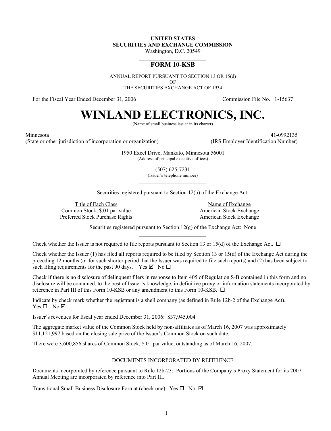#### **UNITED STATES SECURITIES AND EXCHANGE COMMISSION**  Washington, D.C. 20549

\_\_\_\_\_\_\_\_\_\_\_\_\_\_\_\_\_\_\_\_\_\_\_\_

# **FORM 10-KSB**

ANNUAL REPORT PURSUANT TO SECTION 13 OR 15(d) OF

THE SECURITIES EXCHANGE ACT OF 1934

For the Fiscal Year Ended December 31, 2006 Commission File No.: 1-15637

# **WINLAND ELECTRONICS, INC.**

(Name of small business issuer in its charter)

(State or other jurisdiction of incorporation or organization) (IRS Employer Identification Number)

Minnesota 41-0992135

1950 Excel Drive, Mankato, Minnesota 56001 (Address of principal executive offices)

> (507) 625-7231 (Issuer's telephone number) \_\_\_\_\_\_\_\_\_\_\_\_\_\_\_\_\_\_\_\_\_\_\_\_

Securities registered pursuant to Section 12(b) of the Exchange Act:

Title of Each Class Name of Exchange Common Stock, \$.01 par value American Stock Exchange Preferred Stock Purchase Rights American Stock Exchange

Securities registered pursuant to Section 12(g) of the Exchange Act: None

Check whether the Issuer is not required to file reports pursuant to Section 13 or 15(d) of the Exchange Act.  $\Box$ 

Check whether the Issuer (1) has filed all reports required to be filed by Section 13 or 15(d) of the Exchange Act during the preceding 12 months (or for such shorter period that the Issuer was required to file such reports) and (2) has been subject to such filing requirements for the past 90 days. Yes  $\boxtimes$  No  $\Box$ 

Check if there is no disclosure of delinquent filers in response to Item 405 of Regulation S-B contained in this form and no disclosure will be contained, to the best of Issuer's knowledge, in definitive proxy or information statements incorporated by reference in Part III of this Form 10-KSB or any amendment to this Form 10-KSB.

Indicate by check mark whether the registrant is a shell company (as defined in Rule 12b-2 of the Exchange Act).  $Yes \Box No \Box$ 

Issuer's revenues for fiscal year ended December 31, 2006: \$37,945,004

The aggregate market value of the Common Stock held by non-affiliates as of March 16, 2007 was approximately \$11,121,997 based on the closing sale price of the Issuer's Common Stock on such date.

There were 3,600,856 shares of Common Stock, \$.01 par value, outstanding as of March 16, 2007.

# DOCUMENTS INCORPORATED BY REFERENCE

Documents incorporated by reference pursuant to Rule 12b-23: Portions of the Company's Proxy Statement for its 2007 Annual Meeting are incorporated by reference into Part III.

Transitional Small Business Disclosure Format (check one) Yes  $\square$  No  $\square$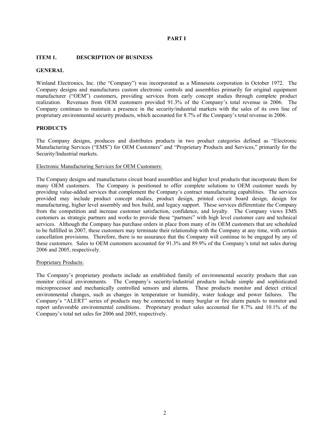# **PART I**

#### **ITEM 1. DESCRIPTION OF BUSINESS**

#### **GENERAL**

Winland Electronics, Inc. (the "Company") was incorporated as a Minnesota corporation in October 1972. The Company designs and manufactures custom electronic controls and assemblies primarily for original equipment manufacturer ("OEM") customers, providing services from early concept studies through complete product realization. Revenues from OEM customers provided 91.3% of the Company's total revenue in 2006. The Company continues to maintain a presence in the security/industrial markets with the sales of its own line of proprietary environmental security products, which accounted for 8.7% of the Company's total revenue in 2006.

#### **PRODUCTS**

The Company designs, produces and distributes products in two product categories defined as "Electronic Manufacturing Services ("EMS") for OEM Customers" and "Proprietary Products and Services," primarily for the Security/Industrial markets.

#### Electronic Manufacturing Services for OEM Customers:

The Company designs and manufactures circuit board assemblies and higher level products that incorporate them for many OEM customers. The Company is positioned to offer complete solutions to OEM customer needs by providing value-added services that complement the Company's contract manufacturing capabilities. The services provided may include product concept studies, product design, printed circuit board design, design for manufacturing, higher level assembly and box build, and legacy support. These services differentiate the Company from the competition and increase customer satisfaction, confidence, and loyalty. The Company views EMS customers as strategic partners and works to provide these "partners" with high level customer care and technical services. Although the Company has purchase orders in place from many of its OEM customers that are scheduled to be fulfilled in 2007, these customers may terminate their relationship with the Company at any time, with certain cancellation provisions. Therefore, there is no assurance that the Company will continue to be engaged by any of these customers. Sales to OEM customers accounted for 91.3% and 89.9% of the Company's total net sales during 2006 and 2005, respectively.

#### Proprietary Products:

The Company's proprietary products include an established family of environmental security products that can monitor critical environments. The Company's security/industrial products include simple and sophisticated microprocessor and mechanically controlled sensors and alarms. These products monitor and detect critical environmental changes, such as changes in temperature or humidity, water leakage and power failures. The Company's "ALERT" series of products may be connected to many burglar or fire alarm panels to monitor and report unfavorable environmental conditions. Proprietary product sales accounted for 8.7% and 10.1% of the Company's total net sales for 2006 and 2005, respectively.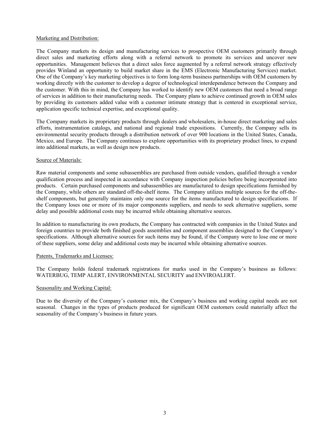#### Marketing and Distribution:

The Company markets its design and manufacturing services to prospective OEM customers primarily through direct sales and marketing efforts along with a referral network to promote its services and uncover new opportunities. Management believes that a direct sales force augmented by a referral network strategy effectively provides Winland an opportunity to build market share in the EMS (Electronic Manufacturing Services) market. One of the Company's key marketing objectives is to form long-term business partnerships with OEM customers by working directly with the customer to develop a degree of technological interdependence between the Company and the customer. With this in mind, the Company has worked to identify new OEM customers that need a broad range of services in addition to their manufacturing needs. The Company plans to achieve continued growth in OEM sales by providing its customers added value with a customer intimate strategy that is centered in exceptional service, application specific technical expertise, and exceptional quality.

The Company markets its proprietary products through dealers and wholesalers, in-house direct marketing and sales efforts, instrumentation catalogs, and national and regional trade expositions. Currently, the Company sells its environmental security products through a distribution network of over 900 locations in the United States, Canada, Mexico, and Europe. The Company continues to explore opportunities with its proprietary product lines, to expand into additional markets, as well as design new products.

# Source of Materials:

Raw material components and some subassemblies are purchased from outside vendors, qualified through a vendor qualification process and inspected in accordance with Company inspection policies before being incorporated into products. Certain purchased components and subassemblies are manufactured to design specifications furnished by the Company, while others are standard off-the-shelf items. The Company utilizes multiple sources for the off-theshelf components, but generally maintains only one source for the items manufactured to design specifications. If the Company loses one or more of its major components suppliers, and needs to seek alternative suppliers, some delay and possible additional costs may be incurred while obtaining alternative sources.

In addition to manufacturing its own products, the Company has contracted with companies in the United States and foreign countries to provide both finished goods assemblies and component assemblies designed to the Company's specifications. Although alternative sources for such items may be found, if the Company were to lose one or more of these suppliers, some delay and additional costs may be incurred while obtaining alternative sources.

# Patents, Trademarks and Licenses:

The Company holds federal trademark registrations for marks used in the Company's business as follows: WATERBUG, TEMP ALERT, ENVIRONMENTAL SECURITY and ENVIROALERT.

# Seasonality and Working Capital:

Due to the diversity of the Company's customer mix, the Company's business and working capital needs are not seasonal. Changes in the types of products produced for significant OEM customers could materially affect the seasonality of the Company's business in future years.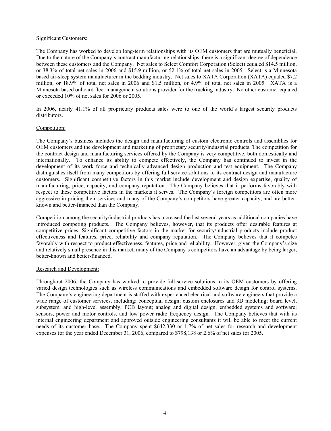#### Significant Customers:

The Company has worked to develop long-term relationships with its OEM customers that are mutually beneficial. Due to the nature of the Company's contract manufacturing relationships, there is a significant degree of dependence between these customers and the Company. Net sales to Select Comfort Corporation (Select) equaled \$14.5 million, or 38.3% of total net sales in 2006 and \$15.9 million, or 52.1% of total net sales in 2005. Select is a Minnesota based air-sleep system manufacturer in the bedding industry. Net sales to XATA Corporation (XATA) equaled \$7.2 million, or 18.9% of total net sales in 2006 and \$1.5 million, or 4.9% of total net sales in 2005. XATA is a Minnesota based onboard fleet management solutions provider for the trucking industry. No other customer equaled or exceeded 10% of net sales for 2006 or 2005.

In 2006, nearly 41.1% of all proprietary products sales were to one of the world's largest security products distributors.

#### Competition:

The Company's business includes the design and manufacturing of custom electronic controls and assemblies for OEM customers and the development and marketing of proprietary security/industrial products. The competition for the contract design and manufacturing services offered by the Company is very competitive, both domestically and internationally. To enhance its ability to compete effectively, the Company has continued to invest in the development of its work force and technically advanced design production and test equipment. The Company distinguishes itself from many competitors by offering full service solutions to its contract design and manufacture customers. Significant competitive factors in this market include development and design expertise, quality of manufacturing, price, capacity, and company reputation. The Company believes that it performs favorably with respect to these competitive factors in the markets it serves. The Company's foreign competitors are often more aggressive in pricing their services and many of the Company's competitors have greater capacity, and are betterknown and better-financed than the Company.

Competition among the security/industrial products has increased the last several years as additional companies have introduced competing products. The Company believes, however, that its products offer desirable features at competitive prices. Significant competitive factors in the market for security/industrial products include product effectiveness and features, price, reliability and company reputation. The Company believes that it competes favorably with respect to product effectiveness, features, price and reliability. However, given the Company's size and relatively small presence in this market, many of the Company's competitors have an advantage by being larger, better-known and better-financed.

#### Research and Development:

Throughout 2006, the Company has worked to provide full-service solutions to its OEM customers by offering varied design technologies such as wireless communications and embedded software design for control systems. The Company's engineering department is staffed with experienced electrical and software engineers that provide a wide range of customer services, including: conceptual design; custom enclosures and 3D modeling; board level, subsystem, and high-level assembly; PCB layout; analog and digital design, embedded systems and software; sensors, power and motor controls, and low power radio frequency design. The Company believes that with its internal engineering department and approved outside engineering consultants it will be able to meet the current needs of its customer base. The Company spent \$642,330 or 1.7% of net sales for research and development expenses for the year ended December 31, 2006, compared to \$798,138 or 2.6% of net sales for 2005.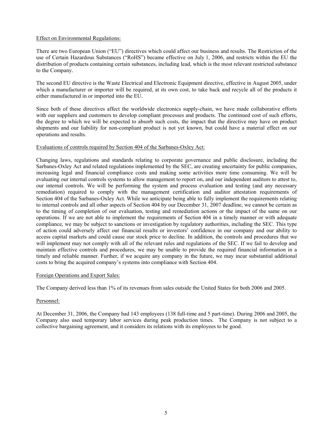# Effect on Environmental Regulations:

There are two European Union ("EU") directives which could affect our business and results. The Restriction of the use of Certain Hazardous Substances ("RoHS") became effective on July 1, 2006, and restricts within the EU the distribution of products containing certain substances, including lead, which is the most relevant restricted substance to the Company.

The second EU directive is the Waste Electrical and Electronic Equipment directive, effective in August 2005, under which a manufacturer or importer will be required, at its own cost, to take back and recycle all of the products it either manufactured in or imported into the EU.

Since both of these directives affect the worldwide electronics supply-chain, we have made collaborative efforts with our suppliers and customers to develop compliant processes and products. The continued cost of such efforts, the degree to which we will be expected to absorb such costs, the impact that the directive may have on product shipments and our liability for non-compliant product is not yet known, but could have a material effect on our operations and results.

#### Evaluations of controls required by Section 404 of the Sarbanes-Oxley Act:

Changing laws, regulations and standards relating to corporate governance and public disclosure, including the Sarbanes-Oxley Act and related regulations implemented by the SEC, are creating uncertainty for public companies, increasing legal and financial compliance costs and making some activities more time consuming. We will be evaluating our internal controls systems to allow management to report on, and our independent auditors to attest to, our internal controls. We will be performing the system and process evaluation and testing (and any necessary remediation) required to comply with the management certification and auditor attestation requirements of Section 404 of the Sarbanes-Oxley Act. While we anticipate being able to fully implement the requirements relating to internal controls and all other aspects of Section 404 by our December 31, 2007 deadline, we cannot be certain as to the timing of completion of our evaluation, testing and remediation actions or the impact of the same on our operations. If we are not able to implement the requirements of Section 404 in a timely manner or with adequate compliance, we may be subject to sanctions or investigation by regulatory authorities, including the SEC. This type of action could adversely affect our financial results or investors' confidence in our company and our ability to access capital markets and could cause our stock price to decline. In addition, the controls and procedures that we will implement may not comply with all of the relevant rules and regulations of the SEC. If we fail to develop and maintain effective controls and procedures, we may be unable to provide the required financial information in a timely and reliable manner. Further, if we acquire any company in the future, we may incur substantial additional costs to bring the acquired company's systems into compliance with Section 404.

# Foreign Operations and Export Sales:

The Company derived less than 1% of its revenues from sales outside the United States for both 2006 and 2005.

# Personnel:

At December 31, 2006, the Company had 143 employees (138 full-time and 5 part-time). During 2006 and 2005, the Company also used temporary labor services during peak production times. The Company is not subject to a collective bargaining agreement, and it considers its relations with its employees to be good.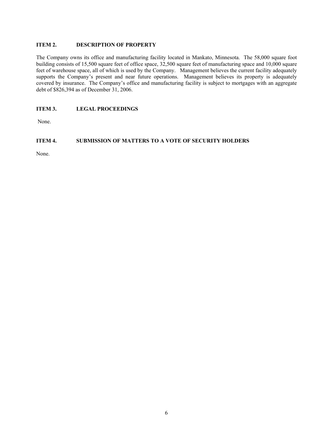# **ITEM 2. DESCRIPTION OF PROPERTY**

The Company owns its office and manufacturing facility located in Mankato, Minnesota. The 58,000 square foot building consists of 15,500 square feet of office space, 32,500 square feet of manufacturing space and 10,000 square feet of warehouse space, all of which is used by the Company. Management believes the current facility adequately supports the Company's present and near future operations. Management believes its property is adequately covered by insurance. The Company's office and manufacturing facility is subject to mortgages with an aggregate debt of \$826,394 as of December 31, 2006.

# **ITEM 3. LEGAL PROCEEDINGS**

None.

# **ITEM 4. SUBMISSION OF MATTERS TO A VOTE OF SECURITY HOLDERS**

None.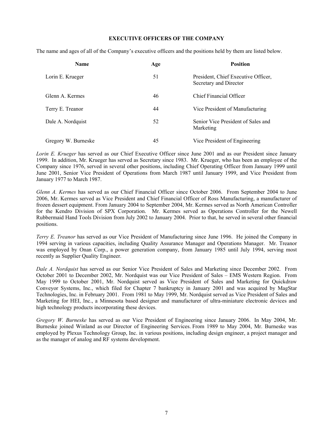#### **EXECUTIVE OFFICERS OF THE COMPANY**

The name and ages of all of the Company's executive officers and the positions held by them are listed below.

| <b>Name</b>         | Age | <b>Position</b>                                               |
|---------------------|-----|---------------------------------------------------------------|
| Lorin E. Krueger    | 51  | President, Chief Executive Officer,<br>Secretary and Director |
| Glenn A. Kermes     | 46  | Chief Financial Officer                                       |
| Terry E. Treanor    | 44  | Vice President of Manufacturing                               |
| Dale A. Nordquist   | 52  | Senior Vice President of Sales and<br>Marketing               |
| Gregory W. Burneske | 45  | Vice President of Engineering                                 |

*Lorin E. Krueger* has served as our Chief Executive Officer since June 2001 and as our President since January 1999. In addition, Mr. Krueger has served as Secretary since 1983. Mr. Krueger, who has been an employee of the Company since 1976, served in several other positions, including Chief Operating Officer from January 1999 until June 2001, Senior Vice President of Operations from March 1987 until January 1999, and Vice President from January 1977 to March 1987.

*Glenn A. Kermes* has served as our Chief Financial Officer since October 2006. From September 2004 to June 2006, Mr. Kermes served as Vice President and Chief Financial Officer of Ross Manufacturing, a manufacturer of frozen dessert equipment. From January 2004 to September 2004, Mr. Kermes served as North American Controller for the Kendro Division of SPX Corporation. Mr. Kermes served as Operations Controller for the Newell Rubbermaid Hand Tools Division from July 2002 to January 2004. Prior to that, he served in several other financial positions.

*Terry E. Treanor* has served as our Vice President of Manufacturing since June 1996. He joined the Company in 1994 serving in various capacities, including Quality Assurance Manager and Operations Manager. Mr. Treanor was employed by Onan Corp., a power generation company, from January 1985 until July 1994, serving most recently as Supplier Quality Engineer.

*Dale A. Nordquist* has served as our Senior Vice President of Sales and Marketing since December 2002. From October 2001 to December 2002, Mr. Nordquist was our Vice President of Sales – EMS Western Region. From May 1999 to October 2001, Mr. Nordquist served as Vice President of Sales and Marketing for Quickdraw Conveyor Systems, Inc., which filed for Chapter 7 bankruptcy in January 2001 and was acquired by MagStar Technologies, Inc. in February 2001. From 1981 to May 1999, Mr. Nordquist served as Vice President of Sales and Marketing for HEI, Inc., a Minnesota based designer and manufacturer of ultra-miniature electronic devices and high technology products incorporating these devices.

*Gregory W. Burneske* has served as our Vice President of Engineering since January 2006. In May 2004, Mr. Burneske joined Winland as our Director of Engineering Services. From 1989 to May 2004, Mr. Burneske was employed by Plexus Technology Group, Inc. in various positions, including design engineer, a project manager and as the manager of analog and RF systems development.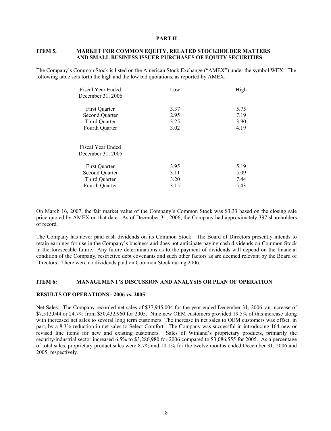#### **PART II**

#### **ITEM 5. MARKET FOR COMMON EQUITY, RELATED STOCKHOLDER MATTERS AND SMALL BUSINESS ISSUER PURCHASES OF EQUITY SECURITIES**

The Company's Common Stock is listed on the American Stock Exchange ("AMEX") under the symbol WEX. The following table sets forth the high and the low bid quotations, as reported by AMEX.

| Low  | High         |
|------|--------------|
|      | 5.75         |
|      | 7.19         |
| 3.25 | 3.90         |
| 3.02 | 4.19         |
|      |              |
| 3.95 | 5.19         |
| 3.11 | 5.09         |
| 3.20 | 7.44         |
| 3.15 | 5.43         |
|      | 3.37<br>2.95 |

On March 16, 2007, the fair market value of the Company's Common Stock was \$3.33 based on the closing sale price quoted by AMEX on that date. As of December 31, 2006, the Company had approximately 397 shareholders of record.

The Company has never paid cash dividends on its Common Stock. The Board of Directors presently intends to retain earnings for use in the Company's business and does not anticipate paying cash dividends on Common Stock in the foreseeable future. Any future determinations as to the payment of dividends will depend on the financial condition of the Company, restrictive debt covenants and such other factors as are deemed relevant by the Board of Directors. There were no dividends paid on Common Stock during 2006.

#### **ITEM 6: MANAGEMENT'S DISCUSSION AND ANALYSIS OR PLAN OF OPERATION**

#### **RESULTS OF OPERATIONS - 2006 vs. 2005**

Net Sales: The Company recorded net sales of \$37,945,004 for the year ended December 31, 2006, an increase of \$7,512,044 or 24.7% from \$30,432,960 for 2005. Nine new OEM customers provided 19.5% of this increase along with increased net sales to several long term customers. The increase in net sales to OEM customers was offset, in part, by a 8.3% reduction in net sales to Select Comfort. The Company was successful in introducing 164 new or revised line items for new and existing customers. Sales of Winland's proprietary products, primarily the security/industrial sector increased 6.5% to \$3,286,980 for 2006 compared to \$3,086,555 for 2005. As a percentage of total sales, proprietary product sales were 8.7% and 10.1% for the twelve months ended December 31, 2006 and 2005, respectively.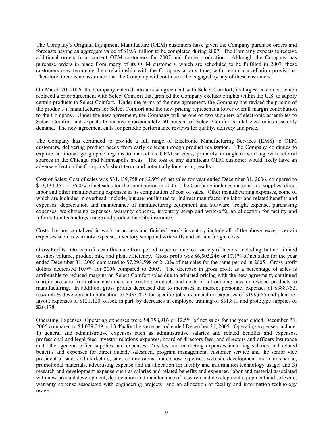The Company's Original Equipment Manufacture (OEM) customers have given the Company purchase orders and forecasts having an aggregate value of \$19.6 million to be completed during 2007. The Company expects to receive additional orders from current OEM customers for 2007 and future production. Although the Company has purchase orders in place from many of its OEM customers, which are scheduled to be fulfilled in 2007, these customers may terminate their relationship with the Company at any time, with certain cancellation provisions. Therefore, there is no assurance that the Company will continue to be engaged by any of these customers.

On March 20, 2006, the Company entered into a new agreement with Select Comfort, its largest customer, which replaced a prior agreement with Select Comfort that granted the Company exclusive rights within the U.S. to supply certain products to Select Comfort. Under the terms of the new agreement, the Company has revised the pricing of the products it manufactures for Select Comfort and the new pricing represents a lower overall margin contribution to the Company. Under the new agreement, the Company will be one of two suppliers of electronic assemblies to Select Comfort and expects to receive approximately 50 percent of Select Comfort's total electronics assembly demand. The new agreement calls for periodic performance reviews for quality, delivery and price.

The Company has continued to provide a full range of Electronic Manufacturing Services (EMS) to OEM customers, delivering product needs from early concept through product realization. The Company continues to explore additional geographic regions to market its OEM services, primarily through networking with referral sources in the Chicago and Minneapolis areas. The loss of any significant OEM customer would likely have an adverse effect on the Company's short-term, and potentially long-term, results.

Cost of Sales: Cost of sales was \$31,439,758 or 82.9% of net sales for year ended December 31, 2006, compared to \$23,134,362 or 76.0% of net sales for the same period in 2005. The Company includes material and supplies, direct labor and other manufacturing expenses in its computation of cost of sales. Other manufacturing expenses, some of which are included in overhead, include, but are not limited to, indirect manufacturing labor and related benefits and expenses, depreciation and maintenance of manufacturing equipment and software, freight expense, purchasing expenses, warehousing expenses, warranty expense, inventory scrap and write-offs, an allocation for facility and information technology usage and product liability insurance.

Costs that are capitalized in work in process and finished goods inventory include all of the above, except certain expenses such as warranty expense, inventory scrap and write-offs and certain freight costs.

Gross Profits: Gross profits can fluctuate from period to period due to a variety of factors, including, but not limited to, sales volume, product mix, and plant efficiency. Gross profit was \$6,505,246 or 17.1% of net sales for the year ended December 31, 2006 compared to \$7,298,598 or 24.0% of net sales for the same period in 2005. Gross profit dollars decreased 10.9% for 2006 compared to 2005. The decrease in gross profit as a percentage of sales is attributable to reduced margins on Select Comfort sales due to adjusted pricing with the new agreement, continued margin pressure from other customers on existing products and costs of introducing new or revised products to manufacturing. In addition, gross profits decreased due to increases in indirect personnel expenses of \$388,752, research & development application of \$333,423 for specific jobs, depreciation expenses of \$199,685 and plant relayout expenses of \$121,120, offset, in part, by decreases in employee training of \$31,811 and prototype supplies of \$26,178.

Operating Expenses: Operating expenses were \$4,758,916 or 12.5% of net sales for the year ended December 31, 2006 compared to \$4,079,049 or 13.4% for the same period ended December 31, 2005. Operating expenses include: 1) general and administrative expenses such as administrative salaries and related benefits and expenses, professional and legal fees, investor relations expenses, board of directors fees, and directors and officers insurance and other general office supplies and expenses; 2) sales and marketing expenses including salaries and related benefits and expenses for direct outside salesmen, program management, customer service and the senior vice president of sales and marketing, sales commissions, trade show expenses, web site development and maintenance, promotional materials, advertising expense and an allocation for facility and information technology usage; and 3) research and development expense such as salaries and related benefits and expenses, labor and material associated with new product development, depreciation and maintenance of research and development equipment and software, warranty expense associated with engineering projects and an allocation of facility and information technology usage.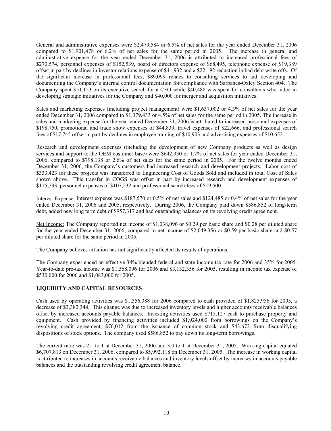General and administrative expenses were \$2,479,584 or 6.5% of net sales for the year ended December 31, 2006 compared to \$1,901,478 or 6.2% of net sales for the same period in 2005. The increase in general and administrative expense for the year ended December 31, 2006 is attributed to increased professional fees of \$270,574, personnel expenses of \$152,539, board of directors expense of \$68,495, telephone expense of \$19,389 offset in part by declines in investor relations expense of \$41,932 and a \$22,192 reduction in bad debt write offs. Of the significant increase in professional fees, \$89,099 relates to consulting services to aid developing and documenting the Company's internal control documentation for compliance with Sarbanes-Oxley Section 404. The Company spent \$51,153 on its executive search for a CFO while \$40,488 was spent for consultants who aided in developing strategic initiatives for the Company and \$40,000 for merger and acquisition initiatives.

Sales and marketing expenses (including project management) were \$1,637,002 or 4.3% of net sales for the year ended December 31, 2006 compared to \$1,379,433 or 4.5% of net sales for the same period in 2005. The increase in sales and marketing expense for the year ended December 31, 2006 is attributed to increased personnel expenses of \$198,750, promotional and trade show expenses of \$44,839, travel expenses of \$22,666, and professional search fees of \$17,745 offset in part by declines in employee training of \$10,903 and advertising expenses of \$10,652.

Research and development expenses (including the development of new Company products as well as design services and support to the OEM customer base) were \$642,330 or 1.7% of net sales for year ended December 31, 2006, compared to \$798,138 or 2.6% of net sales for the same period in 2005. For the twelve months ended December 31, 2006, the Company's customers had increased research and development projects. Labor cost of \$333,423 for these projects was transferred to Engineering Cost of Goods Sold and included in total Cost of Sales shown above. This transfer in COGS was offset in part by increased research and development expenses of \$115,733, personnel expenses of \$107,232 and professional search fees of \$19,500.

Interest Expense: Interest expense was \$187,570 or 0.5% of net sales and \$124,485 or 0.4% of net sales for the year ended December 31, 2006 and 2005, respectively. During 2006, the Company paid down \$586,852 of long-term debt, added new long term debt of \$957,317 and had outstanding balances on its revolving credit agreement.

Net Income: The Company reported net income of \$1,038,096 or \$0.29 per basic share and \$0.28 per diluted share for the year ended December 31, 2006, compared to net income of \$2,049,356 or \$0.59 per basic share and \$0.57 per diluted share for the same period in 2005.

The Company believes inflation has not significantly affected its results of operations.

The Company experienced an effective 34% blended federal and state income tax rate for 2006 and 35% for 2005. Year-to-date pre-tax income was \$1,568,096 for 2006 and \$3,132,356 for 2005, resulting in income tax expense of \$530,000 for 2006 and \$1,083,000 for 2005.

# **LIQUIDITY AND CAPITAL RESOURCES**

Cash used by operating activities was \$1,556,388 for 2006 compared to cash provided of \$1,825,956 for 2005, a decrease of \$3,382,344. This change was due to increased inventory levels and higher accounts receivable balances offset by increased accounts payable balances. Investing activities used \$715,127 cash to purchase property and equipment. Cash provided by financing activities included \$1,924,000 from borrowings on the Company's revolving credit agreement, \$76,012 from the issuance of common stock and \$43,672 from disqualifying dispositions of stock options. The company used \$586,852 to pay down its long-term borrowings.

The current ratio was 2.1 to 1 at December 31, 2006 and 3.0 to 1 at December 31, 2005. Working capital equaled \$6,707,813 on December 31, 2006, compared to \$5,992,118 on December 31, 2005. The increase in working capital is attributed to increases in accounts receivable balances and inventory levels offset by increases in accounts payable balances and the outstanding revolving credit agreement balance.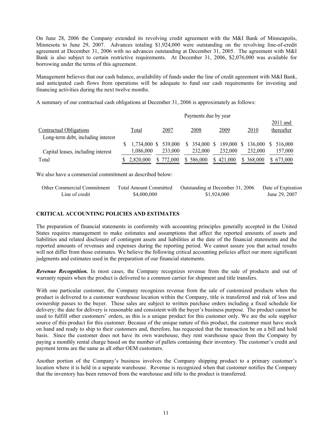On June 28, 2006 the Company extended its revolving credit agreement with the M&I Bank of Minneapolis, Minnesota to June 29, 2007. Advances totaling \$1,924,000 were outstanding on the revolving line-of-credit agreement at December 31, 2006 with no advances outstanding at December 31, 2005. The agreement with M&I Bank is also subject to certain restrictive requirements. At December 31, 2006, \$2,076,000 was available for borrowing under the terms of this agreement.

Management believes that our cash balance, availability of funds under the line of credit agreement with M&I Bank, and anticipated cash flows from operations will be adequate to fund our cash requirements for investing and financing activities during the next twelve months.

A summary of our contractual cash obligations at December 31, 2006 is approximately as follows:

|                                    |                      |           |    | Payments due by year |    |         |    |         |    |                          |
|------------------------------------|----------------------|-----------|----|----------------------|----|---------|----|---------|----|--------------------------|
| <b>Contractual Obligations</b>     | <b>Total</b>         | 2007      |    | 2008                 |    | 2009    |    | 2010    |    | $2011$ and<br>thereafter |
| Long-term debt, including interest | 1,734,000 \$ 539,000 |           | S. | 354,000 \$           |    | 189,000 | -S | 136,000 | S. | 516,000                  |
| Capital leases, including interest | 1,086,000            | 233,000   |    | 232,000              |    | 232,000 |    | 232,000 |    | 157,000                  |
| Total                              | 2,820,000            | \$772,000 |    | \$586,000            | S. | 421,000 | S. | 368,000 |    | \$673,000                |

We also have a commercial commitment as described below:

| <b>Other Commercial Commitment</b> | <b>Total Amount Committed</b> | Outstanding at December 31, 2006 | Date of Expiration |
|------------------------------------|-------------------------------|----------------------------------|--------------------|
| Line of credit                     | \$4,000,000                   | \$1,924,000                      | June 29, 2007      |

# **CRITICAL ACCOUNTING POLICIES AND ESTIMATES**

The preparation of financial statements in conformity with accounting principles generally accepted in the United States requires management to make estimates and assumptions that affect the reported amounts of assets and liabilities and related disclosure of contingent assets and liabilities at the date of the financial statements and the reported amounts of revenues and expenses during the reporting period. We cannot assure you that actual results will not differ from those estimates. We believe the following critical accounting policies affect our more significant judgments and estimates used in the preparation of our financial statements.

**Revenue Recognition.** In most cases, the Company recognizes revenue from the sale of products and out of warranty repairs when the product is delivered to a common carrier for shipment and title transfers.

With one particular customer, the Company recognizes revenue from the sale of customized products when the product is delivered to a customer warehouse location within the Company, title is transferred and risk of loss and ownership passes to the buyer. These sales are subject to written purchase orders including a fixed schedule for delivery; the date for delivery is reasonable and consistent with the buyer's business purpose. The product cannot be used to fulfill other customers' orders, as this is a unique product for this customer only. We are the sole supplier source of this product for this customer. Because of the unique nature of this product, the customer must have stock on hand and ready to ship to their customers and, therefore, has requested that the transaction be on a bill and hold basis. Since the customer does not have its own warehouse, they rent warehouse space from the Company by paying a monthly rental charge based on the number of pallets containing their inventory. The customer's credit and payment terms are the same as all other OEM customers.

Another portion of the Company's business involves the Company shipping product to a primary customer's location where it is held in a separate warehouse. Revenue is recognized when that customer notifies the Company that the inventory has been removed from the warehouse and title to the product is transferred.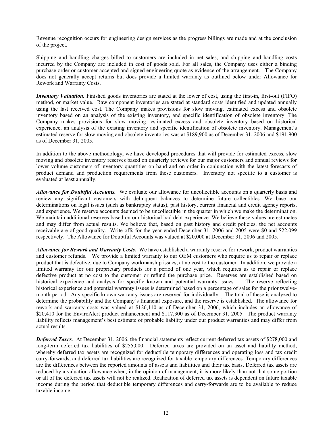Revenue recognition occurs for engineering design services as the progress billings are made and at the conclusion of the project.

Shipping and handling charges billed to customers are included in net sales, and shipping and handling costs incurred by the Company are included in cost of goods sold. For all sales, the Company uses either a binding purchase order or customer accepted and signed engineering quote as evidence of the arrangement. The Company does not generally accept returns but does provide a limited warranty as outlined below under Allowance for Rework and Warranty Costs.

*Inventory Valuation.* Finished goods inventories are stated at the lower of cost, using the first-in, first-out (FIFO) method, or market value. Raw component inventories are stated at standard costs identified and updated annually using the last received cost. The Company makes provisions for slow moving, estimated excess and obsolete inventory based on an analysis of the existing inventory, and specific identification of obsolete inventory. The Company makes provisions for slow moving, estimated excess and obsolete inventory based on historical experience, an analysis of the existing inventory and specific identification of obsolete inventory. Management's estimated reserve for slow moving and obsolete inventories was at \$189,900 as of December 31, 2006 and \$191,900 as of December 31, 2005.

In addition to the above methodology, we have developed procedures that will provide for estimated excess, slow moving and obsolete inventory reserves based on quarterly reviews for our major customers and annual reviews for lower volume customers of inventory quantities on hand and on order in conjunction with the latest forecasts of product demand and production requirements from these customers. Inventory not specific to a customer is evaluated at least annually.

*Allowance for Doubtful Accounts.* We evaluate our allowance for uncollectible accounts on a quarterly basis and review any significant customers with delinquent balances to determine future collectibles. We base our determinations on legal issues (such as bankruptcy status), past history, current financial and credit agency reports, and experience. We reserve accounts deemed to be uncollectible in the quarter in which we make the determination. We maintain additional reserves based on our historical bad debt experience. We believe these values are estimates and may differ from actual results. We believe that, based on past history and credit policies, the net accounts receivable are of good quality. Write offs for the year ended December 31, 2006 and 2005 were \$0 and \$22,099 respectively. The Allowance for Doubtful Accounts was valued at \$20,000 at December 31, 2006 and 2005.

*Allowance for Rework and Warranty Costs.* We have established a warranty reserve for rework, product warranties and customer refunds. We provide a limited warranty to our OEM customers who require us to repair or replace product that is defective, due to Company workmanship issues, at no cost to the customer. In addition, we provide a limited warranty for our proprietary products for a period of one year, which requires us to repair or replace defective product at no cost to the customer or refund the purchase price. Reserves are established based on historical experience and analysis for specific known and potential warranty issues. The reserve reflecting historical experience and potential warranty issues is determined based on a percentage of sales for the prior twelvemonth period. Any specific known warranty issues are reserved for individually. The total of these is analyzed to determine the probability and the Company's financial exposure, and the reserve is established. The allowance for rework and warranty costs was valued at \$126,110 as of December 31, 2006, which includes an allowance of \$20,410 for the EnviroAlert product enhancement and \$117,300 as of December 31, 2005. The product warranty liability reflects management's best estimate of probable liability under our product warranties and may differ from actual results.

*Deferred Taxes.* At December 31, 2006, the financial statements reflect current deferred tax assets of \$278,000 and long-term deferred tax liabilities of \$255,000. Deferred taxes are provided on an asset and liability method, whereby deferred tax assets are recognized for deductible temporary differences and operating loss and tax credit carry-forwards, and deferred tax liabilities are recognized for taxable temporary differences. Temporary differences are the differences between the reported amounts of assets and liabilities and their tax basis. Deferred tax assets are reduced by a valuation allowance when, in the opinion of management, it is more likely than not that some portion or all of the deferred tax assets will not be realized. Realization of deferred tax assets is dependent on future taxable income during the period that deductible temporary differences and carry-forwards are to be available to reduce taxable income.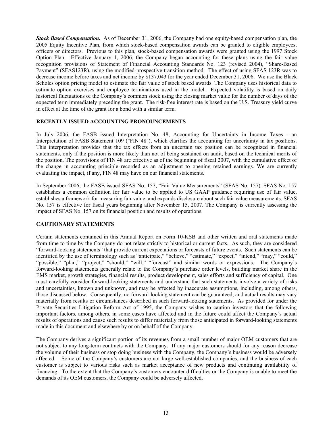*Stock Based Compensation.* As of December 31, 2006, the Company had one equity-based compensation plan, the 2005 Equity Incentive Plan, from which stock-based compensation awards can be granted to eligible employees, officers or directors. Previous to this plan, stock-based compensation awards were granted using the 1997 Stock Option Plan. Effective January 1, 2006, the Company began accounting for these plans using the fair value recognition provisions of Statement of Financial Accounting Standards No. 123 (revised 2004), "Share-Based Payment" (SFAS123R), using the modified-prospective-transition method. The effect of using SFAS 123R was to decrease income before taxes and net income by \$137,043 for the year ended December 31, 2006. We use the Black Scholes option pricing model to estimate the fair value of stock based awards. The Company uses historical data to estimate option exercises and employee terminations used in the model. Expected volatility is based on daily historical fluctuations of the Company's common stock using the closing market value for the number of days of the expected term immediately preceding the grant. The risk-free interest rate is based on the U.S. Treasury yield curve in effect at the time of the grant for a bond with a similar term.

# **RECENTLY ISSUED ACCOUNTING PRONOUNCEMENTS**

In July 2006, the FASB issued Interpretation No. 48, Accounting for Uncertainty in Income Taxes - an Interpretation of FASB Statement 109 ("FIN 48"), which clarifies the accounting for uncertainty in tax positions. This interpretation provides that the tax effects from an uncertain tax position can be recognized in financial statements, only if the position is more likely than not of being sustained on audit, based on the technical merits of the position. The provisions of FIN 48 are effective as of the beginning of fiscal 2007, with the cumulative effect of the change in accounting principle recorded as an adjustment to opening retained earnings. We are currently evaluating the impact, if any, FIN 48 may have on our financial statements.

In September 2006, the FASB issued SFAS No. 157, "Fair Value Measurements" (SFAS No. 157). SFAS No. 157 establishes a common definition for fair value to be applied to US GAAP guidance requiring use of fair value, establishes a framework for measuring fair value, and expands disclosure about such fair value measurements. SFAS No. 157 is effective for fiscal years beginning after November 15, 2007. The Company is currently assessing the impact of SFAS No. 157 on its financial position and results of operations.

# **CAUTIONARY STATEMENTS**

Certain statements contained in this Annual Report on Form 10-KSB and other written and oral statements made from time to time by the Company do not relate strictly to historical or current facts. As such, they are considered "forward-looking statements" that provide current expectations or forecasts of future events. Such statements can be identified by the use of terminology such as "anticipate," "believe," "estimate," "expect," "intend," "may," "could," "possible," "plan," "project," "should," "will," "forecast" and similar words or expressions. The Company's forward-looking statements generally relate to the Company's purchase order levels, building market share in the EMS market, growth strategies, financial results, product development, sales efforts and sufficiency of capital. One must carefully consider forward-looking statements and understand that such statements involve a variety of risks and uncertainties, known and unknown, and may be affected by inaccurate assumptions, including, among others, those discussed below. Consequently, no forward-looking statement can be guaranteed, and actual results may vary materially from results or circumstances described in such forward-looking statements. As provided for under the Private Securities Litigation Reform Act of 1995, the Company wishes to caution investors that the following important factors, among others, in some cases have affected and in the future could affect the Company's actual results of operations and cause such results to differ materially from those anticipated in forward-looking statements made in this document and elsewhere by or on behalf of the Company.

The Company derives a significant portion of its revenues from a small number of major OEM customers that are not subject to any long-term contracts with the Company. If any major customers should for any reason decrease the volume of their business or stop doing business with the Company, the Company's business would be adversely affected. Some of the Company's customers are not large well-established companies, and the business of each customer is subject to various risks such as market acceptance of new products and continuing availability of financing. To the extent that the Company's customers encounter difficulties or the Company is unable to meet the demands of its OEM customers, the Company could be adversely affected.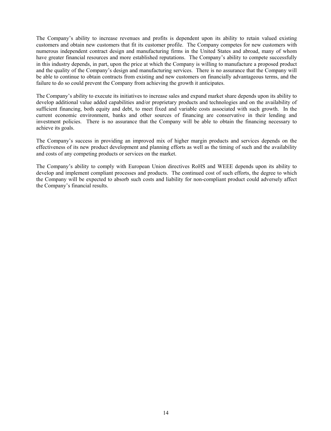The Company's ability to increase revenues and profits is dependent upon its ability to retain valued existing customers and obtain new customers that fit its customer profile. The Company competes for new customers with numerous independent contract design and manufacturing firms in the United States and abroad, many of whom have greater financial resources and more established reputations. The Company's ability to compete successfully in this industry depends, in part, upon the price at which the Company is willing to manufacture a proposed product and the quality of the Company's design and manufacturing services. There is no assurance that the Company will be able to continue to obtain contracts from existing and new customers on financially advantageous terms, and the failure to do so could prevent the Company from achieving the growth it anticipates.

The Company's ability to execute its initiatives to increase sales and expand market share depends upon its ability to develop additional value added capabilities and/or proprietary products and technologies and on the availability of sufficient financing, both equity and debt, to meet fixed and variable costs associated with such growth. In the current economic environment, banks and other sources of financing are conservative in their lending and investment policies. There is no assurance that the Company will be able to obtain the financing necessary to achieve its goals.

The Company's success in providing an improved mix of higher margin products and services depends on the effectiveness of its new product development and planning efforts as well as the timing of such and the availability and costs of any competing products or services on the market.

The Company's ability to comply with European Union directives RoHS and WEEE depends upon its ability to develop and implement compliant processes and products. The continued cost of such efforts, the degree to which the Company will be expected to absorb such costs and liability for non-compliant product could adversely affect the Company's financial results.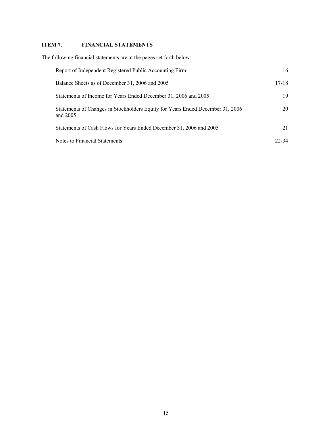# **ITEM 7. FINANCIAL STATEMENTS**

The following financial statements are at the pages set forth below:

| Report of Independent Registered Public Accounting Firm                                      | 16        |
|----------------------------------------------------------------------------------------------|-----------|
| Balance Sheets as of December 31, 2006 and 2005                                              | $17 - 18$ |
| Statements of Income for Years Ended December 31, 2006 and 2005                              | 19        |
| Statements of Changes in Stockholders Equity for Years Ended December 31, 2006<br>and $2005$ | 20        |
| Statements of Cash Flows for Years Ended December 31, 2006 and 2005                          | 21        |
| Notes to Financial Statements                                                                | 22-34     |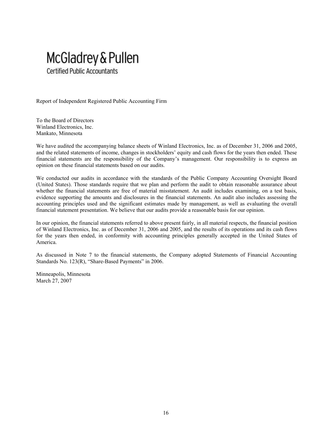# McGladrey & Pullen **Certified Public Accountants**

Report of Independent Registered Public Accounting Firm

To the Board of Directors Winland Electronics, Inc. Mankato, Minnesota

We have audited the accompanying balance sheets of Winland Electronics, Inc. as of December 31, 2006 and 2005, and the related statements of income, changes in stockholders' equity and cash flows for the years then ended. These financial statements are the responsibility of the Company's management. Our responsibility is to express an opinion on these financial statements based on our audits.

We conducted our audits in accordance with the standards of the Public Company Accounting Oversight Board (United States). Those standards require that we plan and perform the audit to obtain reasonable assurance about whether the financial statements are free of material misstatement. An audit includes examining, on a test basis, evidence supporting the amounts and disclosures in the financial statements. An audit also includes assessing the accounting principles used and the significant estimates made by management, as well as evaluating the overall financial statement presentation. We believe that our audits provide a reasonable basis for our opinion.

In our opinion, the financial statements referred to above present fairly, in all material respects, the financial position of Winland Electronics, Inc. as of December 31, 2006 and 2005, and the results of its operations and its cash flows for the years then ended, in conformity with accounting principles generally accepted in the United States of America.

As discussed in Note 7 to the financial statements, the Company adopted Statements of Financial Accounting Standards No. 123(R), "Share-Based Payments" in 2006.

Minneapolis, Minnesota March 27, 2007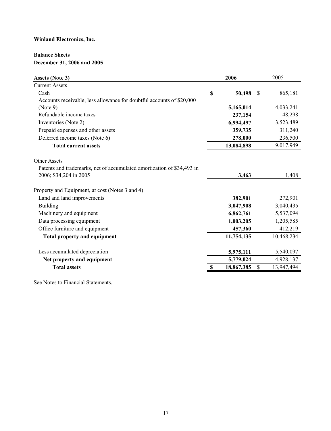# **Balance Sheets December 31, 2006 and 2005**

|                                                                        |                                     |               | 2005       |
|------------------------------------------------------------------------|-------------------------------------|---------------|------------|
| <b>Current Assets</b>                                                  |                                     |               |            |
| Cash                                                                   | $\boldsymbol{\mathsf{S}}$<br>50,498 | <sup>\$</sup> | 865,181    |
| Accounts receivable, less allowance for doubtful accounts of \$20,000  |                                     |               |            |
| (Note 9)                                                               | 5,165,014                           |               | 4,033,241  |
| Refundable income taxes                                                | 237,154                             |               | 48,298     |
| Inventories (Note 2)                                                   | 6,994,497                           |               | 3,523,489  |
| Prepaid expenses and other assets                                      | 359,735                             |               | 311,240    |
| Deferred income taxes (Note 6)                                         | 278,000                             |               | 236,500    |
| <b>Total current assets</b>                                            | 13,084,898                          |               | 9,017,949  |
| <b>Other Assets</b>                                                    |                                     |               |            |
| Patents and trademarks, net of accumulated amortization of \$34,493 in |                                     |               |            |
| 2006; \$34,204 in 2005                                                 | 3,463                               |               | 1,408      |
| Property and Equipment, at cost (Notes 3 and 4)                        |                                     |               |            |
| Land and land improvements                                             | 382,901                             |               | 272,901    |
| <b>Building</b>                                                        | 3,047,908                           |               | 3,040,435  |
| Machinery and equipment                                                | 6,862,761                           |               | 5,537,094  |
| Data processing equipment                                              | 1,003,205                           |               | 1,205,585  |
| Office furniture and equipment                                         | 457,360                             |               | 412,219    |
| <b>Total property and equipment</b>                                    | 11,754,135                          |               | 10,468,234 |
| Less accumulated depreciation                                          | 5,975,111                           |               | 5,540,097  |
| Net property and equipment                                             | 5,779,024                           |               | 4,928,137  |
| <b>Total assets</b>                                                    | 18,867,385                          | \$            | 13,947,494 |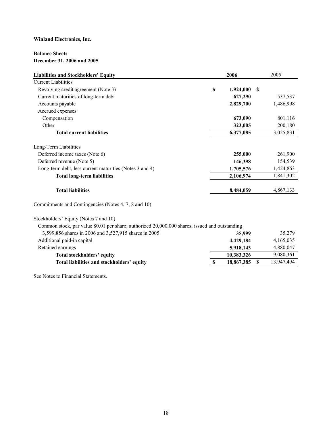# **Balance Sheets**

# **December 31, 2006 and 2005**

| Liabilities and Stockholders' Equity                    | 2006                 | 2005      |
|---------------------------------------------------------|----------------------|-----------|
| Current Liabilities                                     |                      |           |
| Revolving credit agreement (Note 3)                     | \$<br>1,924,000<br>S |           |
| Current maturities of long-term debt                    | 627,290              | 537,537   |
| Accounts payable                                        | 2,829,700            | 1,486,998 |
| Accrued expenses:                                       |                      |           |
| Compensation                                            | 673,090              | 801,116   |
| Other                                                   | 323,005              | 200,180   |
| <b>Total current liabilities</b>                        | 6,377,085            | 3,025,831 |
| Long-Term Liabilities                                   |                      |           |
| Deferred income taxes (Note 6)                          | 255,000              | 261,900   |
| Deferred revenue (Note 5)                               | 146,398              | 154,539   |
| Long-term debt, less current maturities (Notes 3 and 4) | 1,705,576            | 1,424,863 |
| <b>Total long-term liabilities</b>                      | 2,106,974            | 1,841,302 |
| <b>Total liabilities</b>                                | 8,484,059            | 4,867,133 |
| Commitments and Contingencies (Notes 4, 7, 8 and 10)    |                      |           |

Stockholders' Equity (Notes 7 and 10)

| Common stock, par value \$0.01 per share; authorized 20,000,000 shares; issued and outstanding |            |            |
|------------------------------------------------------------------------------------------------|------------|------------|
| 3,599,856 shares in 2006 and 3,527,915 shares in 2005                                          | 35,999     | 35,279     |
| Additional paid-in capital                                                                     | 4,429,184  | 4,165,035  |
| Retained earnings                                                                              | 5,918,143  | 4,880,047  |
| Total stockholders' equity                                                                     | 10,383,326 | 9,080,361  |
| Total liabilities and stockholders' equity                                                     | 18,867,385 | 13,947,494 |
|                                                                                                |            |            |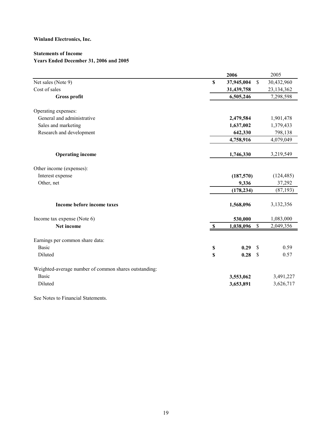# **Statements of Income Years Ended December 31, 2006 and 2005**

|                                                       |             | 2006       |               | 2005       |
|-------------------------------------------------------|-------------|------------|---------------|------------|
| Net sales (Note 9)                                    | $\mathbf S$ | 37,945,004 | $\mathsf{\$}$ | 30,432,960 |
| Cost of sales                                         |             | 31,439,758 |               | 23,134,362 |
| <b>Gross profit</b>                                   |             | 6,505,246  |               | 7,298,598  |
| Operating expenses:                                   |             |            |               |            |
| General and administrative                            |             | 2,479,584  |               | 1,901,478  |
| Sales and marketing                                   |             | 1,637,002  |               | 1,379,433  |
| Research and development                              |             | 642,330    |               | 798,138    |
|                                                       |             | 4,758,916  |               | 4,079,049  |
| <b>Operating income</b>                               |             | 1,746,330  |               | 3,219,549  |
| Other income (expenses):                              |             |            |               |            |
| Interest expense                                      |             | (187,570)  |               | (124, 485) |
| Other, net                                            |             | 9,336      |               | 37,292     |
|                                                       |             | (178, 234) |               | (87, 193)  |
| Income before income taxes                            |             | 1,568,096  |               | 3,132,356  |
| Income tax expense (Note 6)                           |             | 530,000    |               | 1,083,000  |
| Net income                                            | $\mathbf S$ | 1,038,096  | $\$$          | 2,049,356  |
| Earnings per common share data:                       |             |            |               |            |
| <b>Basic</b>                                          | $\mathbb S$ | 0.29       | \$            | 0.59       |
| Diluted                                               | \$          | 0.28       | <sup>\$</sup> | 0.57       |
| Weighted-average number of common shares outstanding: |             |            |               |            |
| <b>Basic</b>                                          |             | 3,553,062  |               | 3,491,227  |
| Diluted                                               |             | 3,653,891  |               | 3,626,717  |
|                                                       |             |            |               |            |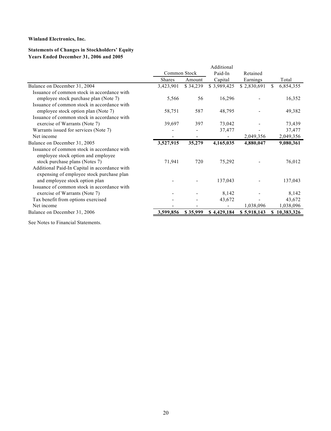# **Statements of Changes in Stockholders' Equity Years Ended December 31, 2006 and 2005**

|                                               |               |          | Additional  |             |     |            |
|-----------------------------------------------|---------------|----------|-------------|-------------|-----|------------|
|                                               | Common Stock  |          | Paid-In     | Retained    |     |            |
|                                               | <b>Shares</b> | Amount   | Capital     | Earnings    |     | Total      |
| Balance on December 31, 2004                  | 3,423,901     | \$34,239 | \$3,989,425 | \$2,830,691 | \$. | 6,854,355  |
| Issuance of common stock in accordance with   |               |          |             |             |     |            |
| employee stock purchase plan (Note 7)         | 5,566         | 56       | 16,296      |             |     | 16,352     |
| Issuance of common stock in accordance with   |               |          |             |             |     |            |
| employee stock option plan (Note 7)           | 58,751        | 587      | 48,795      |             |     | 49,382     |
| Issuance of common stock in accordance with   |               |          |             |             |     |            |
| exercise of Warrants (Note 7)                 | 39,697        | 397      | 73,042      |             |     | 73,439     |
| Warrants issued for services (Note 7)         |               |          | 37,477      |             |     | 37,477     |
| Net income                                    |               |          |             | 2,049,356   |     | 2,049,356  |
| Balance on December 31, 2005                  | 3,527,915     | 35,279   | 4,165,035   | 4,880,047   |     | 9,080,361  |
| Issuance of common stock in accordance with   |               |          |             |             |     |            |
| employee stock option and employee            |               |          |             |             |     |            |
| stock purchase plans (Notes 7)                | 71,941        | 720      | 75,292      |             |     | 76,012     |
| Additional Paid-In Capital in accordance with |               |          |             |             |     |            |
| expensing of employee stock purchase plan     |               |          |             |             |     |            |
| and employee stock option plan                |               |          | 137,043     |             |     | 137,043    |
| Issuance of common stock in accordance with   |               |          |             |             |     |            |
| exercise of Warrants (Note 7)                 |               |          | 8,142       |             |     | 8,142      |
| Tax benefit from options exercised            |               |          | 43,672      |             |     | 43,672     |
| Net income                                    |               |          |             | 1,038,096   |     | 1,038,096  |
| Balance on December 31, 2006                  | 3,599,856     | \$35,999 | \$4,429,184 | \$5,918,143 | S.  | 10,383,326 |
|                                               |               |          |             |             |     |            |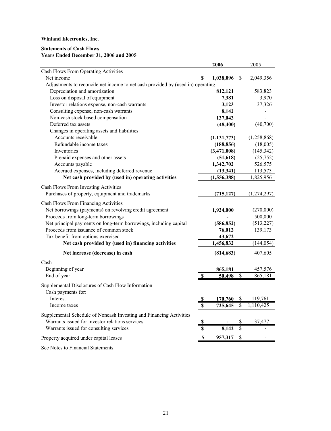# **Statements of Cash Flows Years Ended December 31, 2006 and 2005**

|                                                                                 | 2006                       |                         | 2005        |
|---------------------------------------------------------------------------------|----------------------------|-------------------------|-------------|
| Cash Flows From Operating Activities                                            |                            |                         |             |
| Net income                                                                      | \$<br>1,038,096            | \$                      | 2,049,356   |
| Adjustments to reconcile net income to net cash provided by (used in) operating |                            |                         |             |
| Depreciation and amortization                                                   | 812,121                    |                         | 583,823     |
| Loss on disposal of equipment                                                   | 7,381                      |                         | 3,970       |
| Investor relations expense, non-cash warrants                                   | 3,123                      |                         | 37,326      |
| Consulting expense, non-cash warrants                                           | 8,142                      |                         |             |
| Non-cash stock based compensation                                               | 137,043                    |                         |             |
| Deferred tax assets                                                             | (48, 400)                  |                         | (40,700)    |
| Changes in operating assets and liabilities:                                    |                            |                         |             |
| Accounts receivable                                                             | (1, 131, 773)              |                         | (1,258,868) |
| Refundable income taxes                                                         | (188, 856)                 |                         | (18,005)    |
| Inventories                                                                     | (3,471,008)                |                         | (145, 342)  |
| Prepaid expenses and other assets                                               | (51, 618)                  |                         | (25,752)    |
| Accounts payable                                                                | 1,342,702                  |                         | 526,575     |
| Accrued expenses, including deferred revenue                                    | (13, 341)                  |                         | 113,573     |
| Net cash provided by (used in) operating activities                             | (1, 556, 388)              |                         | 1,825,956   |
|                                                                                 |                            |                         |             |
| Cash Flows From Investing Activities                                            |                            |                         |             |
| Purchases of property, equipment and trademarks                                 | (715, 127)                 |                         | (1,274,297) |
| Cash Flows From Financing Activities                                            |                            |                         |             |
| Net borrowings (payments) on revolving credit agreement                         | 1,924,000                  |                         | (270,000)   |
| Proceeds from long-term borrowings                                              |                            |                         | 500,000     |
| Net principal payments on long-term borrowings, including capital               | (586, 852)                 |                         | (513, 227)  |
| Proceeds from issuance of common stock                                          | 76,012                     |                         | 139,173     |
| Tax benefit from options exercised                                              | 43,672                     |                         |             |
| Net cash provided by (used in) financing activities                             | 1,456,832                  |                         | (144, 054)  |
| Net increase (decrease) in cash                                                 | (814, 683)                 |                         | 407,605     |
| Cash                                                                            |                            |                         |             |
| Beginning of year                                                               | 865,181                    |                         | 457,576     |
| End of year                                                                     | $\mathbf S$<br>50,498      | \$                      | 865,181     |
|                                                                                 |                            |                         |             |
| Supplemental Disclosures of Cash Flow Information                               |                            |                         |             |
| Cash payments for:                                                              |                            |                         |             |
| Interest                                                                        | 170,760                    | S                       | 119,761     |
| Income taxes                                                                    | $\overline{\$}$<br>725,645 | \$                      | 1,110,425   |
| Supplemental Schedule of Noncash Investing and Financing Activities             |                            |                         |             |
| Warrants issued for investor relations services                                 | \$                         | \$                      | 37.477      |
| Warrants issued for consulting services                                         | \$<br>8,142                | $\overline{\mathbb{S}}$ |             |
| Property acquired under capital leases                                          | \$<br>957,317              | $\mathcal{S}$           |             |
|                                                                                 |                            |                         |             |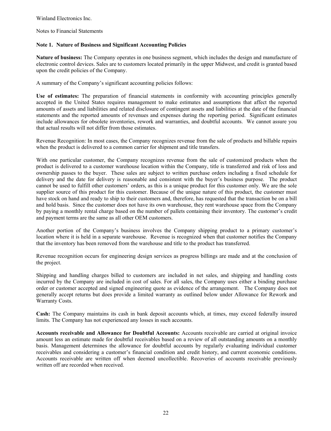Notes to Financial Statements

# **Note 1. Nature of Business and Significant Accounting Policies**

**Nature of business:** The Company operates in one business segment, which includes the design and manufacture of electronic control devices. Sales are to customers located primarily in the upper Midwest, and credit is granted based upon the credit policies of the Company.

A summary of the Company's significant accounting policies follows:

**Use of estimates:** The preparation of financial statements in conformity with accounting principles generally accepted in the United States requires management to make estimates and assumptions that affect the reported amounts of assets and liabilities and related disclosure of contingent assets and liabilities at the date of the financial statements and the reported amounts of revenues and expenses during the reporting period. Significant estimates include allowances for obsolete inventories, rework and warranties, and doubtful accounts. We cannot assure you that actual results will not differ from those estimates.

Revenue Recognition: In most cases, the Company recognizes revenue from the sale of products and billable repairs when the product is delivered to a common carrier for shipment and title transfers.

With one particular customer, the Company recognizes revenue from the sale of customized products when the product is delivered to a customer warehouse location within the Company, title is transferred and risk of loss and ownership passes to the buyer. These sales are subject to written purchase orders including a fixed schedule for delivery and the date for delivery is reasonable and consistent with the buyer's business purpose. The product cannot be used to fulfill other customers' orders, as this is a unique product for this customer only. We are the sole supplier source of this product for this customer. Because of the unique nature of this product, the customer must have stock on hand and ready to ship to their customers and, therefore, has requested that the transaction be on a bill and hold basis. Since the customer does not have its own warehouse, they rent warehouse space from the Company by paying a monthly rental charge based on the number of pallets containing their inventory. The customer's credit and payment terms are the same as all other OEM customers.

Another portion of the Company's business involves the Company shipping product to a primary customer's location where it is held in a separate warehouse. Revenue is recognized when that customer notifies the Company that the inventory has been removed from the warehouse and title to the product has transferred.

Revenue recognition occurs for engineering design services as progress billings are made and at the conclusion of the project.

Shipping and handling charges billed to customers are included in net sales, and shipping and handling costs incurred by the Company are included in cost of sales. For all sales, the Company uses either a binding purchase order or customer accepted and signed engineering quote as evidence of the arrangement. The Company does not generally accept returns but does provide a limited warranty as outlined below under Allowance for Rework and Warranty Costs.

**Cash:** The Company maintains its cash in bank deposit accounts which, at times, may exceed federally insured limits. The Company has not experienced any losses in such accounts.

**Accounts receivable and Allowance for Doubtful Accounts:** Accounts receivable are carried at original invoice amount less an estimate made for doubtful receivables based on a review of all outstanding amounts on a monthly basis. Management determines the allowance for doubtful accounts by regularly evaluating individual customer receivables and considering a customer's financial condition and credit history, and current economic conditions. Accounts receivable are written off when deemed uncollectible. Recoveries of accounts receivable previously written off are recorded when received.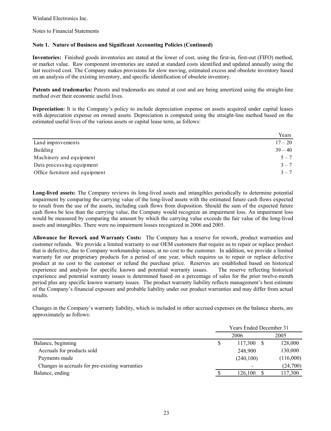Notes to Financial Statements

# **Note 1. Nature of Business and Significant Accounting Policies (Continued)**

**Inventories:** Finished goods inventories are stated at the lower of cost, using the first-in, first-out (FIFO) method, or market value. Raw component inventories are stated at standard costs identified and updated annually using the last received cost. The Company makes provisions for slow moving, estimated excess and obsolete inventory based on an analysis of the existing inventory, and specific identification of obsolete inventory.

**Patents and trademarks:** Patents and trademarks are stated at cost and are being amortized using the straight-line method over their economic useful lives.

**Depreciation:** It is the Company's policy to include depreciation expense on assets acquired under capital leases with depreciation expense on owned assets. Depreciation is computed using the straight-line method based on the estimated useful lives of the various assets or capital lease term, as follows:

|                                | Years     |
|--------------------------------|-----------|
| Land improvements              | $17 - 20$ |
| Building                       | $39 - 40$ |
| Machinery and equipment        | $5 - 7$   |
| Data processing equipment      | $3 - 7$   |
| Office furniture and equipment | $3 - 7$   |

**Long-lived assets:** The Company reviews its long-lived assets and intangibles periodically to determine potential impairment by comparing the carrying value of the long-lived assets with the estimated future cash flows expected to result from the use of the assets, including cash flows from disposition. Should the sum of the expected future cash flows be less than the carrying value, the Company would recognize an impairment loss. An impairment loss would be measured by comparing the amount by which the carrying value exceeds the fair value of the long-lived assets and intangibles. There were no impairment losses recognized in 2006 and 2005.

**Allowance for Rework and Warranty Costs:** The Company has a reserve for rework, product warranties and customer refunds. We provide a limited warranty to our OEM customers that require us to repair or replace product that is defective, due to Company workmanship issues, at no cost to the customer. In addition, we provide a limited warranty for our proprietary products for a period of one year, which requires us to repair or replace defective product at no cost to the customer or refund the purchase price. Reserves are established based on historical experience and analysis for specific known and potential warranty issues. The reserve reflecting historical experience and potential warranty issues is determined based on a percentage of sales for the prior twelve-month period plus any specific known warranty issues. The product warranty liability reflects management's best estimate of the Company's financial exposure and probable liability under our product warranties and may differ from actual results.

Changes in the Company's warranty liability, which is included in other accrued expenses on the balance sheets, are approximately as follows:

|                                                 | Years Ended December 31 |           |           |  |
|-------------------------------------------------|-------------------------|-----------|-----------|--|
|                                                 |                         | 2006      | 2005      |  |
| Balance, beginning                              |                         | 117,300   | 128,000   |  |
| Accruals for products sold                      |                         | 248,900   | 130,000   |  |
| Payments made                                   |                         | (240,100) | (116,000) |  |
| Changes in accruals for pre-existing warranties |                         |           | (24,700)  |  |
| Balance, ending                                 |                         | 126,100   | 117,300   |  |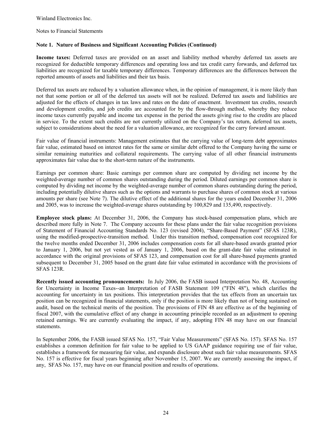Notes to Financial Statements

# **Note 1. Nature of Business and Significant Accounting Policies (Continued)**

**Income taxes:** Deferred taxes are provided on an asset and liability method whereby deferred tax assets are recognized for deductible temporary differences and operating loss and tax credit carry forwards, and deferred tax liabilities are recognized for taxable temporary differences. Temporary differences are the differences between the reported amounts of assets and liabilities and their tax basis.

Deferred tax assets are reduced by a valuation allowance when, in the opinion of management, it is more likely than not that some portion or all of the deferred tax assets will not be realized. Deferred tax assets and liabilities are adjusted for the effects of changes in tax laws and rates on the date of enactment. Investment tax credits, research and development credits, and job credits are accounted for by the flow-through method, whereby they reduce income taxes currently payable and income tax expense in the period the assets giving rise to the credits are placed in service. To the extent such credits are not currently utilized on the Company's tax return, deferred tax assets, subject to considerations about the need for a valuation allowance, are recognized for the carry forward amount.

Fair value of financial instruments: Management estimates that the carrying value of long-term debt approximates fair value, estimated based on interest rates for the same or similar debt offered to the Company having the same or similar remaining maturities and collateral requirements. The carrying value of all other financial instruments approximates fair value due to the short-term nature of the instruments.

Earnings per common share: Basic earnings per common share are computed by dividing net income by the weighted-average number of common shares outstanding during the period. Diluted earnings per common share is computed by dividing net income by the weighted-average number of common shares outstanding during the period, including potentially dilutive shares such as the options and warrants to purchase shares of common stock at various amounts per share (see Note 7). The dilutive effect of the additional shares for the years ended December 31, 2006 and 2005, was to increase the weighted-average shares outstanding by 100,829 and 135,490, respectively.

**Employee stock plans:** At December 31, 2006, the Company has stock-based compensation plans, which are described more fully in Note 7. The Company accounts for these plans under the fair value recognition provisions of Statement of Financial Accounting Standards No. 123 (revised 2004), "Share-Based Payment" (SFAS 123R), using the modified-prospective-transition method. Under this transition method, compensation cost recognized for the twelve months ended December 31, 2006 includes compensation costs for all share-based awards granted prior to January 1, 2006, but not yet vested as of January 1, 2006, based on the grant-date fair value estimated in accordance with the original provisions of SFAS 123, and compensation cost for all share-based payments granted subsequent to December 31, 2005 based on the grant date fair value estimated in accordance with the provisions of SFAS 123R.

**Recently issued accounting pronouncements:** In July 2006, the FASB issued Interpretation No. 48, Accounting for Uncertainty in Income Taxes--an Interpretation of FASB Statement 109 ("FIN 48"), which clarifies the accounting for uncertainty in tax positions. This interpretation provides that the tax effects from an uncertain tax position can be recognized in financial statements, only if the position is more likely than not of being sustained on audit, based on the technical merits of the position. The provisions of FIN 48 are effective as of the beginning of fiscal 2007, with the cumulative effect of any change in accounting principle recorded as an adjustment to opening retained earnings. We are currently evaluating the impact, if any, adopting FIN 48 may have on our financial statements.

In September 2006, the FASB issued SFAS No. 157, "Fair Value Measurements" (SFAS No. 157). SFAS No. 157 establishes a common definition for fair value to be applied to US GAAP guidance requiring use of fair value, establishes a framework for measuring fair value, and expands disclosure about such fair value measurements. SFAS No. 157 is effective for fiscal years beginning after November 15, 2007. We are currently assessing the impact, if any, SFAS No. 157, may have on our financial position and results of operations.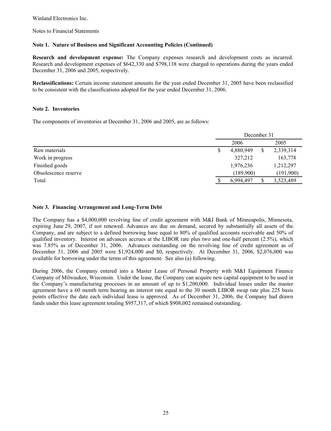Notes to Financial Statements

# **Note 1. Nature of Business and Significant Accounting Policies (Continued)**

**Research and development expense:** The Company expenses research and development costs as incurred. Research and development expenses of \$642,330 and \$798,138 were charged to operations during the years ended December 31, 2006 and 2005, respectively.

**Reclassifications:** Certain income statement amounts for the year ended December 31, 2005 have been reclassified to be consistent with the classifications adopted for the year ended December 31, 2006.

# **Note 2. Inventories**

The components of inventories at December 31, 2006 and 2005, are as follows:

|                      | December 31 |           |  |           |
|----------------------|-------------|-----------|--|-----------|
|                      |             | 2006      |  | 2005      |
| Raw materials        | S           | 4,880,949 |  | 2,339,314 |
| Work in progress     |             | 327,212   |  | 163,778   |
| Finished goods       |             | 1,976,236 |  | 1,212,297 |
| Obsolescence reserve |             | (189,900) |  | (191,900) |
| Total                |             | 6.994.497 |  | 3,523,489 |

# **Note 3. Financing Arrangement and Long-Term Debt**

The Company has a \$4,000,000 revolving line of credit agreement with M&I Bank of Minneapolis, Minnesota, expiring June 29, 2007, if not renewed. Advances are due on demand, secured by substantially all assets of the Company, and are subject to a defined borrowing base equal to 80% of qualified accounts receivable and 50% of qualified inventory. Interest on advances accrues at the LIBOR rate plus two and one-half percent (2.5%), which was 7.85% as of December 31, 2006. Advances outstanding on the revolving line of credit agreement as of December 31, 2006 and 2005 were \$1,924,000 and \$0, respectively. At December 31, 2006, \$2,076,000 was available for borrowing under the terms of this agreement. See also (a) following.

During 2006, the Company entered into a Master Lease of Personal Property with M&I Equipment Finance Company of Milwaukee, Wisconsin. Under the lease, the Company can acquire new capital equipment to be used in the Company's manufacturing processes in an amount of up to \$1,200,000. Individual leases under the master agreement have a 60 month term bearing an interest rate equal to the 30 month LIBOR swap rate plus 225 basis points effective the date each individual lease is approved. As of December 31, 2006, the Company had drawn funds under this lease agreement totaling \$957,317, of which \$908,002 remained outstanding.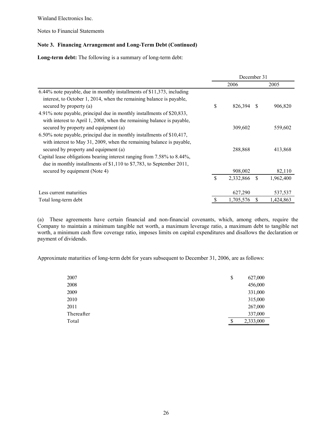Notes to Financial Statements

# **Note 3. Financing Arrangement and Long-Term Debt (Continued)**

**Long-term debt:** The following is a summary of long-term debt:

|                                                                                                                                                  | December 31 |           |               |           |
|--------------------------------------------------------------------------------------------------------------------------------------------------|-------------|-----------|---------------|-----------|
|                                                                                                                                                  |             | 2006      |               | 2005      |
| 6.44% note payable, due in monthly installments of \$11,373, including<br>interest, to October 1, 2014, when the remaining balance is payable,   |             |           |               |           |
| secured by property (a)                                                                                                                          | \$          | 826,394   | <sup>\$</sup> | 906,820   |
| 4.91% note payable, principal due in monthly installments of \$20,833,<br>with interest to April 1, 2008, when the remaining balance is payable, |             |           |               |           |
| secured by property and equipment (a)                                                                                                            |             | 309,602   |               | 559,602   |
| 6.50% note payable, principal due in monthly installments of \$10,417,<br>with interest to May 31, 2009, when the remaining balance is payable,  |             |           |               |           |
| secured by property and equipment (a)                                                                                                            |             | 288,868   |               | 413,868   |
| Capital lease obligations bearing interest ranging from 7.58% to 8.44%,<br>due in monthly installments of \$1,110 to \$7,783, to September 2011, |             |           |               |           |
| secured by equipment (Note 4)                                                                                                                    |             | 908,002   |               | 82,110    |
|                                                                                                                                                  | \$          | 2,332,866 | <sup>\$</sup> | 1,962,400 |
| Less current maturities                                                                                                                          |             | 627,290   |               | 537,537   |
| Total long-term debt                                                                                                                             |             | 1,705,576 | S             | 1,424,863 |

(a) These agreements have certain financial and non-financial covenants, which, among others, require the Company to maintain a minimum tangible net worth, a maximum leverage ratio, a maximum debt to tangible net worth, a minimum cash flow coverage ratio, imposes limits on capital expenditures and disallows the declaration or payment of dividends.

Approximate maturities of long-term debt for years subsequent to December 31, 2006, are as follows:

| 2007       | \$ | 627,000   |
|------------|----|-----------|
| 2008       |    | 456,000   |
| 2009       |    | 331,000   |
| 2010       |    | 315,000   |
| 2011       |    | 267,000   |
| Thereafter |    | 337,000   |
| Total      | S  | 2,333,000 |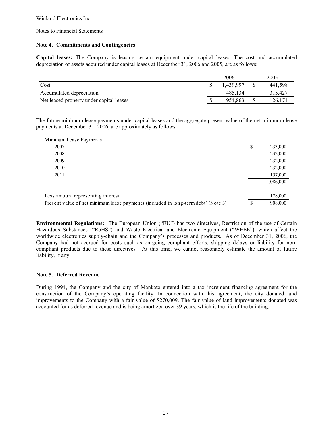Notes to Financial Statements

# **Note 4. Commitments and Contingencies**

**Capital leases:** The Company is leasing certain equipment under capital leases. The cost and accumulated depreciation of assets acquired under capital leases at December 31, 2006 and 2005, are as follows:

|                                          | 2006      | 2005    |
|------------------------------------------|-----------|---------|
| Cost                                     | 1.439.997 | 441,598 |
| Accumulated depreciation                 | 485.134   | 315.427 |
| Net leased property under capital leases | 954.863   | 126.171 |

The future minimum lease payments under capital leases and the aggregate present value of the net minimum lease payments at December 31, 2006, are approximately as follows:

| \$<br>2007                                                                             | 233,000<br>232,000 |
|----------------------------------------------------------------------------------------|--------------------|
|                                                                                        |                    |
| 2008                                                                                   |                    |
| 2009                                                                                   | 232,000            |
| 2010                                                                                   | 232,000            |
| 2011                                                                                   | 157,000            |
|                                                                                        | 1,086,000          |
| Less amount representing interest                                                      | 178,000            |
| Present value of net minimum lease payments (included in long-term debt) (Note 3)<br>¢ | 908,000            |

**Environmental Regulations:** The European Union ("EU") has two directives, Restriction of the use of Certain Hazardous Substances ("RoHS") and Waste Electrical and Electronic Equipment ("WEEE"), which affect the worldwide electronics supply-chain and the Company's processes and products. As of December 31, 2006, the Company had not accrued for costs such as on-going compliant efforts, shipping delays or liability for noncompliant products due to these directives. At this time, we cannot reasonably estimate the amount of future liability, if any.

# **Note 5. Deferred Revenue**

During 1994, the Company and the city of Mankato entered into a tax increment financing agreement for the construction of the Company's operating facility. In connection with this agreement, the city donated land improvements to the Company with a fair value of \$270,009. The fair value of land improvements donated was accounted for as deferred revenue and is being amortized over 39 years, which is the life of the building.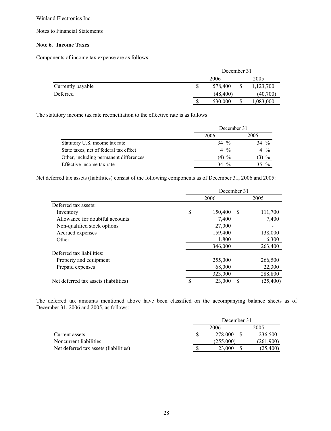Notes to Financial Statements

# **Note 6. Income Taxes**

Components of income tax expense are as follows:

|                   | December 31 |      |           |
|-------------------|-------------|------|-----------|
|                   | 2006        | 2005 |           |
| Currently payable | 578,400     |      | 1,123,700 |
| Deferred          | (48, 400)   |      | (40,700)  |
|                   | 530,000     | \$   | 1,083,000 |

The statutory income tax rate reconciliation to the effective rate is as follows:

|                                        |                      | December 31     |  |  |
|----------------------------------------|----------------------|-----------------|--|--|
|                                        | 2006                 | 2005            |  |  |
| Statutory U.S. income tax rate         | $34\frac{9}{6}$      | $34\frac{9}{6}$ |  |  |
| State taxes, net of federal tax effect | $4\frac{0}{0}$       | $4\frac{6}{6}$  |  |  |
| Other, including permanent differences | $\frac{0}{0}$<br>(4) | $\%$<br>3)      |  |  |
| Effective income tax rate              | $\frac{0}{0}$<br>34  | $\frac{0}{0}$   |  |  |

Net deferred tax assets (liabilities) consist of the following components as of December 31, 2006 and 2005:

|                                       |    | December 31     |           |  |  |  |
|---------------------------------------|----|-----------------|-----------|--|--|--|
|                                       |    | 2005            |           |  |  |  |
| Deferred tax assets:                  |    |                 |           |  |  |  |
| Inventory                             | \$ | 150,400<br>- \$ | 111,700   |  |  |  |
| Allowance for doubtful accounts       |    | 7,400           | 7,400     |  |  |  |
| Non-qualified stock options           |    | 27,000          |           |  |  |  |
| Accrued expenses                      |    | 159,400         | 138,000   |  |  |  |
| Other                                 |    | 1,800           | 6,300     |  |  |  |
|                                       |    | 346,000         | 263,400   |  |  |  |
| Deferred tax liabilities:             |    |                 |           |  |  |  |
| Property and equipment                |    | 255,000         | 266,500   |  |  |  |
| Prepaid expenses                      |    | 68,000          | 22,300    |  |  |  |
|                                       |    | 323,000         | 288,800   |  |  |  |
| Net deferred tax assets (liabilities) |    | \$<br>23,000    | (25, 400) |  |  |  |

The deferred tax amounts mentioned above have been classified on the accompanying balance sheets as of December 31, 2006 and 2005, as follows:

|                                       | December 31 |  |           |  |
|---------------------------------------|-------------|--|-----------|--|
|                                       | 2006        |  | 2005      |  |
| Current assets                        | 278,000     |  | 236,500   |  |
| Noncurrent liabilities                | (255.000)   |  | (261,900) |  |
| Net deferred tax assets (liabilities) | 23,000      |  | (25,400)  |  |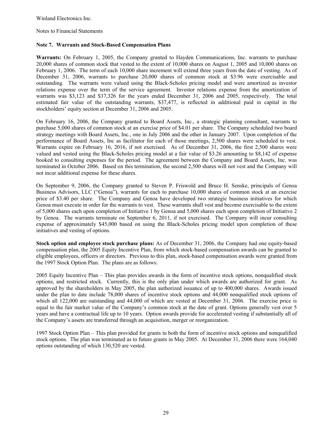Notes to Financial Statements

#### **Note 7. Warrants and Stock-Based Compensation Plans**

**Warrants:** On February 1, 2005, the Company granted to Hayden Communications, Inc. warrants to purchase 20,000 shares of common stock that vested to the extent of 10,000 shares on August 1, 2005 and 10,000 shares on February 1, 2006. The term of each 10,000 share increment will extend three years from the date of vesting. As of December 31, 2006, warrants to purchase 20,000 shares of common stock at \$3.96 were exercisable and outstanding. The warrants were valued using the Black-Scholes pricing model and were amortized as investor relations expense over the term of the service agreement. Investor relations expense from the amortization of warrants was \$3,123 and \$37,326 for the years ended December 31, 2006 and 2005, respectively. The total estimated fair value of the outstanding warrants, \$37,477, is reflected in additional paid in capital in the stockholders' equity section at December 31, 2006 and 2005.

On February 16, 2006, the Company granted to Board Assets, Inc., a strategic planning consultant, warrants to purchase 5,000 shares of common stock at an exercise price of \$4.01 per share. The Company scheduled two board strategy meetings with Board Assets, Inc., one in July 2006 and the other in January 2007. Upon completion of the performance of Board Assets, Inc as facilitator for each of those meetings, 2,500 shares were scheduled to vest. Warrants expire on February 16, 2016, if not exercised. As of December 31, 2006, the first 2,500 shares were valued and vested using the Black-Scholes pricing model at a fair value of \$3.26 amounting to \$8,142 of expense booked to consulting expenses for the period. The agreement between the Company and Board Assets, Inc. was terminated in October 2006. Based on this termination, the second 2,500 shares will not vest and the Company will not incur additional expense for these shares.

On September 9, 2006, the Company granted to Steven P. Friswold and Bruce H. Senske, principals of Genoa Business Advisors, LLC ("Genoa"), warrants for each to purchase 10,000 shares of common stock at an exercise price of \$3.40 per share. The Company and Genoa have developed two strategic business initiatives for which Genoa must execute in order for the warrants to vest. These warrants shall vest and become exercisable to the extent of 5,000 shares each upon completion of Initiative 1 by Genoa and 5,000 shares each upon completion of Initiative 2 by Genoa. The warrants terminate on September 6, 2011, if not exercised. The Company will incur consulting expense of approximately \$45,000 based on using the Black-Scholes pricing model upon completion of these initiatives and vesting of options.

**Stock option and employee stock purchase plans:** As of December 31, 2006, the Company had one equity-based compensation plan, the 2005 Equity Incentive Plan, from which stock-based compensation awards can be granted to eligible employees, officers or directors. Previous to this plan, stock-based compensation awards were granted from the 1997 Stock Option Plan. The plans are as follows:

2005 Equity Incentive Plan – This plan provides awards in the form of incentive stock options, nonqualified stock options, and restricted stock. Currently, this is the only plan under which awards are authorized for grant. As approved by the shareholders in May 2005, the plan authorized issuance of up to 400,000 shares. Awards issued under the plan to date include 78,000 shares of incentive stock options and 44,000 nonqualified stock options of which all 122,000 are outstanding and 44,000 of which are vested at December 31, 2006. The exercise price is equal to the fair market value of the Company's common stock at the date of grant. Options generally vest over 5 years and have a contractual life up to 10 years. Option awards provide for accelerated vesting if substantially all of the Company's assets are transferred through an acquisition, merger or reorganization.

1997 Stock Option Plan – This plan provided for grants in both the form of incentive stock options and nonqualified stock options. The plan was terminated as to future grants in May 2005. At December 31, 2006 there were 164,040 options outstanding of which 130,520 are vested.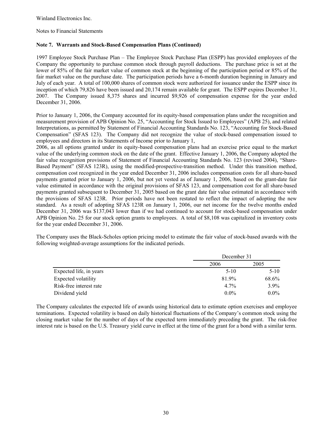Notes to Financial Statements

# **Note 7. Warrants and Stock-Based Compensation Plans (Continued)**

1997 Employee Stock Purchase Plan – The Employee Stock Purchase Plan (ESPP) has provided employees of the Company the opportunity to purchase common stock through payroll deductions. The purchase price is set at the lower of 85% of the fair market value of common stock at the beginning of the participation period or 85% of the fair market value on the purchase date. The participation periods have a 6-month duration beginning in January and July of each year. A total of 100,000 shares of common stock were authorized for issuance under the ESPP since its inception of which 79,826 have been issued and 20,174 remain available for grant. The ESPP expires December 31, 2007. The Company issued 8,375 shares and incurred \$9,926 of compensation expense for the year ended December 31, 2006.

Prior to January 1, 2006, the Company accounted for its equity-based compensation plans under the recognition and measurement provision of APB Opinion No. 25, "Accounting for Stock Issued to Employees" (APB 25), and related Interpretations, as permitted by Statement of Financial Accounting Standards No. 123, "Accounting for Stock-Based Compensation" (SFAS 123). The Company did not recognize the value of stock-based compensation issued to employees and directors in its Statements of Income prior to January 1,

2006, as all options granted under its equity-based compensation plans had an exercise price equal to the market value of the underlying common stock on the date of the grant. Effective January 1, 2006, the Company adopted the fair value recognition provisions of Statement of Financial Accounting Standards No. 123 (revised 2004), "Share-Based Payment" (SFAS 123R), using the modified-prospective-transition method. Under this transition method, compensation cost recognized in the year ended December 31, 2006 includes compensation costs for all share-based payments granted prior to January 1, 2006, but not yet vested as of January 1, 2006, based on the grant-date fair value estimated in accordance with the original provisions of SFAS 123, and compensation cost for all share-based payments granted subsequent to December 31, 2005 based on the grant date fair value estimated in accordance with the provisions of SFAS 123R. Prior periods have not been restated to reflect the impact of adopting the new standard. As a result of adopting SFAS 123R on January 1, 2006, our net income for the twelve months ended December 31, 2006 was \$137,043 lower than if we had continued to account for stock-based compensation under APB Opinion No. 25 for our stock option grants to employees. A total of \$8,108 was capitalized in inventory costs for the year ended December 31, 2006.

The Company uses the Black-Scholes option pricing model to estimate the fair value of stock-based awards with the following weighted-average assumptions for the indicated periods.

|                         | December 31 |         |  |
|-------------------------|-------------|---------|--|
|                         | 2006        | 2005    |  |
| Expected life, in years | $5-10$      | $5-10$  |  |
| Expected volatility     | 81.9%       | 68.6%   |  |
| Risk-free interest rate | $4.7\%$     | $3.9\%$ |  |
| Dividend yield          | $0.0\%$     | $0.0\%$ |  |

The Company calculates the expected life of awards using historical data to estimate option exercises and employee terminations. Expected volatility is based on daily historical fluctuations of the Company's common stock using the closing market value for the number of days of the expected term immediately preceding the grant. The risk-free interest rate is based on the U.S. Treasury yield curve in effect at the time of the grant for a bond with a similar term.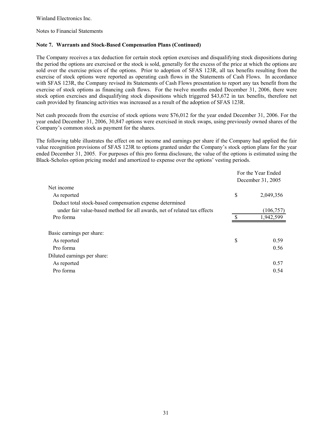Notes to Financial Statements

# **Note 7. Warrants and Stock-Based Compensation Plans (Continued)**

The Company receives a tax deduction for certain stock option exercises and disqualifying stock dispositions during the period the options are exercised or the stock is sold, generally for the excess of the price at which the options are sold over the exercise prices of the options. Prior to adoption of SFAS 123R, all tax benefits resulting from the exercise of stock options were reported as operating cash flows in the Statements of Cash Flows. In accordance with SFAS 123R, the Company revised its Statements of Cash Flows presentation to report any tax benefit from the exercise of stock options as financing cash flows. For the twelve months ended December 31, 2006, there were stock option exercises and disqualifying stock dispositions which triggered \$43,672 in tax benefits, therefore net cash provided by financing activities was increased as a result of the adoption of SFAS 123R.

Net cash proceeds from the exercise of stock options were \$76,012 for the year ended December 31, 2006. For the year ended December 31, 2006, 30,847 options were exercised in stock swaps, using previously owned shares of the Company's common stock as payment for the shares.

The following table illustrates the effect on net income and earnings per share if the Company had applied the fair value recognition provisions of SFAS 123R to options granted under the Company's stock option plans for the year ended December 31, 2005. For purposes of this pro forma disclosure, the value of the options is estimated using the Black-Scholes option pricing model and amortized to expense over the options' vesting periods.

|                                                                          |   | For the Year Ended<br>December 31, 2005 |  |
|--------------------------------------------------------------------------|---|-----------------------------------------|--|
| Net income                                                               |   |                                         |  |
| As reported                                                              | S | 2,049,356                               |  |
| Deduct total stock-based compensation expense determined                 |   |                                         |  |
| under fair value-based method for all awards, net of related tax effects |   | (106, 757)                              |  |
| Pro forma                                                                | ¢ | 1,942,599                               |  |
| Basic earnings per share:                                                |   |                                         |  |
| As reported                                                              | S | 0.59                                    |  |
| Pro forma                                                                |   | 0.56                                    |  |
| Diluted earnings per share:                                              |   |                                         |  |
| As reported                                                              |   | 0.57                                    |  |
| Pro forma                                                                |   | 0.54                                    |  |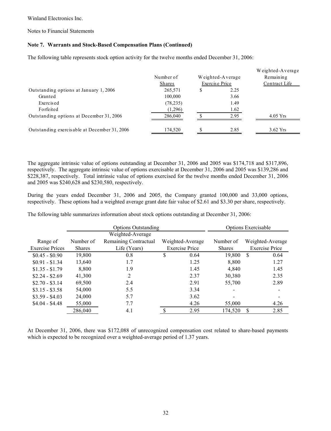Notes to Financial Statements

# **Note 7. Warrants and Stock-Based Compensation Plans (Continued)**

The following table represents stock option activity for the twelve months ended December 31, 2006:

|                                              | Number of<br>Shares |   | Weighted-Average<br>Exercise Price | Weighted-Average<br>Remaining<br>Contract Life |
|----------------------------------------------|---------------------|---|------------------------------------|------------------------------------------------|
| Outstanding options at January 1, 2006       | 265,571             | S | 2.25                               |                                                |
| Granted                                      | 100,000             |   | 3.66                               |                                                |
| Exercised                                    | (78, 235)           |   | 1.49                               |                                                |
| Forfeited                                    | (1,296)             |   | 1.62                               |                                                |
| Outstanding options at December 31, 2006     | 286,040             |   | 2.95                               | $4.05$ Yrs                                     |
| Outstanding exercisable at December 31, 2006 | 174,520             |   | 2.85                               | 3.62 Yrs                                       |

The aggregate intrinsic value of options outstanding at December 31, 2006 and 2005 was \$174,718 and \$317,896, respectively. The aggregate intrinsic value of options exercisable at December 31, 2006 and 2005 was \$139,286 and \$228,387, respectively. Total intrinsic value of options exercised for the twelve months ended December 31, 2006 and 2005 was \$240,628 and \$230,580, respectively.

During the years ended December 31, 2006 and 2005, the Company granted 100,000 and 33,000 options, respectively. These options had a weighted average grant date fair value of \$2.61 and \$3.30 per share, respectively.

The following table summarizes information about stock options outstanding at December 31, 2006:

|                        |               | <b>Options Outstanding</b> |   |                       | <b>Options Exercisable</b> |   |                       |
|------------------------|---------------|----------------------------|---|-----------------------|----------------------------|---|-----------------------|
|                        |               | Weighted-Average           |   |                       |                            |   |                       |
| Range of               | Number of     | Remaining Contractual      |   | Weighted-Average      | Number of                  |   | Weighted-Average      |
| <b>Exercise Prices</b> | <b>Shares</b> | Life (Years)               |   | <b>Exercise Price</b> | <b>Shares</b>              |   | <b>Exercise Price</b> |
| $$0.45 - $0.90$        | 19,800        | 0.8                        | J | 0.64                  | 19,800                     | S | 0.64                  |
| $$0.91 - $1.34$        | 13,640        | 1.7                        |   | 1.25                  | 8,800                      |   | 1.27                  |
| $$1.35 - $1.79$        | 8,800         | 1.9                        |   | 1.45                  | 4.840                      |   | 1.45                  |
| $$2.24 - $2.69$        | 41,300        | 2                          |   | 2.37                  | 30,380                     |   | 2.35                  |
| $$2.70 - $3.14$        | 69,500        | 2.4                        |   | 2.91                  | 55,700                     |   | 2.89                  |
| $$3.15 - $3.58$        | 54,000        | 5.5                        |   | 3.34                  |                            |   |                       |
| $$3.59 - $4.03$        | 24,000        | 5.7                        |   | 3.62                  |                            |   |                       |
| $$4.04 - $4.48$        | 55,000        | 7.7                        |   | 4.26                  | 55,000                     |   | 4.26                  |
|                        | 286,040       | 4.1                        |   | 2.95                  | 174,520                    |   | 2.85                  |

At December 31, 2006, there was \$172,088 of unrecognized compensation cost related to share-based payments which is expected to be recognized over a weighted-average period of 1.37 years.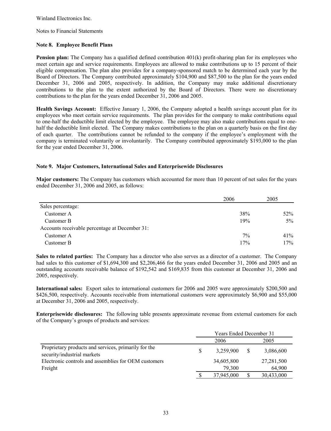Notes to Financial Statements

# **Note 8. Employee Benefit Plans**

**Pension plan:** The Company has a qualified defined contribution 401(k) profit-sharing plan for its employees who meet certain age and service requirements. Employees are allowed to make contributions up to 15 percent of their eligible compensation. The plan also provides for a company-sponsored match to be determined each year by the Board of Directors. The Company contributed approximately \$104,900 and \$87,500 to the plan for the years ended December 31, 2006 and 2005, respectively. In addition, the Company may make additional discretionary contributions to the plan to the extent authorized by the Board of Directors. There were no discretionary contributions to the plan for the years ended December 31, 2006 and 2005.

**Health Savings Account:** Effective January 1, 2006, the Company adopted a health savings account plan for its employees who meet certain service requirements. The plan provides for the company to make contributions equal to one-half the deductible limit elected by the employee. The employee may also make contributions equal to onehalf the deductible limit elected. The Company makes contributions to the plan on a quarterly basis on the first day of each quarter. The contributions cannot be refunded to the company if the employee's employment with the company is terminated voluntarily or involuntarily. The Company contributed approximately \$193,000 to the plan for the year ended December 31, 2006.

# **Note 9. Major Customers, International Sales and Enterprisewide Disclosures**

**Major customers:** The Company has customers which accounted for more than 10 percent of net sales for the years ended December 31, 2006 and 2005, as follows:

|                                                | 2006  | 2005  |
|------------------------------------------------|-------|-------|
| Sales percentage:                              |       |       |
| Customer A                                     | 38%   | 52%   |
| Customer B                                     | 19%   | $5\%$ |
| Accounts receivable percentage at December 31: |       |       |
| Customer A                                     | $7\%$ | 41%   |
| Customer B                                     | 17%   | 17%   |

**Sales to related parties:** The Company has a director who also serves as a director of a customer. The Company had sales to this customer of \$1,694,300 and \$2,206,466 for the years ended December 31, 2006 and 2005 and an outstanding accounts receivable balance of \$192,542 and \$169,835 from this customer at December 31, 2006 and 2005, respectively.

**International sales:** Export sales to international customers for 2006 and 2005 were approximately \$200,500 and \$426,500, respectively. Accounts receivable from international customers were approximately \$6,900 and \$55,000 at December 31, 2006 and 2005, respectively.

**Enterprisewide disclosures:** The following table presents approximate revenue from external customers for each of the Company's groups of products and services:

|                                                                                     | Years Ended December 31 |            |  |            |
|-------------------------------------------------------------------------------------|-------------------------|------------|--|------------|
|                                                                                     |                         | 2006       |  | 2005       |
| Proprietary products and services, primarily for the<br>security/industrial markets |                         | 3,259,900  |  | 3,086,600  |
| Electronic controls and assemblies for OEM customers                                |                         | 34,605,800 |  | 27,281,500 |
| Freight                                                                             |                         | 79.300     |  | 64.900     |
|                                                                                     |                         | 37,945,000 |  | 30,433,000 |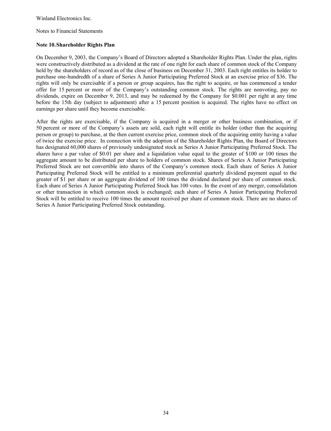Notes to Financial Statements

# **Note 10. Shareholder Rights Plan**

On December 9, 2003, the Company's Board of Directors adopted a Shareholder Rights Plan. Under the plan, rights were constructively distributed as a dividend at the rate of one right for each share of common stock of the Company held by the shareholders of record as of the close of business on December 31, 2003. Each right entitles its holder to purchase one-hundredth of a share of Series A Junior Participating Preferred Stock at an exercise price of \$36. The rights will only be exercisable if a person or group acquires, has the right to acquire, or has commenced a tender offer for 15 percent or more of the Company's outstanding common stock. The rights are nonvoting, pay no dividends, expire on December 9, 2013, and may be redeemed by the Company for \$0.001 per right at any time before the 15th day (subject to adjustment) after a 15 percent position is acquired. The rights have no effect on earnings per share until they become exercisable.

After the rights are exercisable, if the Company is acquired in a merger or other business combination, or if 50 percent or more of the Company's assets are sold, each right will entitle its holder (other than the acquiring person or group) to purchase, at the then current exercise price, common stock of the acquiring entity having a value of twice the exercise price. In connection with the adoption of the Shareholder Rights Plan, the Board of Directors has designated 60,000 shares of previously undesignated stock as Series A Junior Participating Preferred Stock. The shares have a par value of \$0.01 per share and a liquidation value equal to the greater of \$100 or 100 times the aggregate amount to be distributed per share to holders of common stock. Shares of Series A Junior Participating Preferred Stock are not convertible into shares of the Company's common stock. Each share of Series A Junior Participating Preferred Stock will be entitled to a minimum preferential quarterly dividend payment equal to the greater of \$1 per share or an aggregate dividend of 100 times the dividend declared per share of common stock. Each share of Series A Junior Participating Preferred Stock has 100 votes. In the event of any merger, consolidation or other transaction in which common stock is exchanged; each share of Series A Junior Participating Preferred Stock will be entitled to receive 100 times the amount received per share of common stock. There are no shares of Series A Junior Participating Preferred Stock outstanding.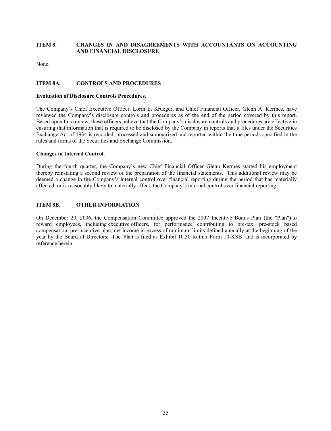# **ITEM 8. CHANGES IN AND DISAGREEMENTS WITH ACCOUNTANTS ON ACCOUNTING AND FINANCIAL DISCLOSURE**

None.

# **ITEM 8A. CONTROLS AND PROCEDURES**

#### **Evaluation of Disclosure Controls Procedures.**

The Company's Chief Executive Officer, Lorin E. Krueger, and Chief Financial Officer, Glenn A. Kermes, have reviewed the Company's disclosure controls and procedures as of the end of the period covered by this report. Based upon this review, these officers believe that the Company's disclosure controls and procedures are effective in ensuring that information that is required to be disclosed by the Company in reports that it files under the Securities Exchange Act of 1934 is recorded, processed and summarized and reported within the time periods specified in the rules and forms of the Securities and Exchange Commission.

#### **Changes in Internal Control.**

During the fourth quarter, the Company's new Chief Financial Officer Glenn Kermes started his employment thereby reinstating a second review of the preparation of the financial statements. This additional review may be deemed a change in the Company's internal control over financial reporting during the period that has materially affected, or is reasonably likely to materially affect, the Company's internal control over financial reporting.

# **ITEM 8B. OTHER INFORMATION**

On December 20, 2006, the Compensation Committee approved the 2007 Incentive Bonus Plan (the "Plan") to reward employees, including executive officers, for performance contributing to pre-tax, pre-stock based compensation, pre-incentive plan, net income in excess of minimum limits defined annually at the beginning of the year by the Board of Directors. The Plan is filed as Exhibit 10.30 to this Form 10-KSB and is incorporated by reference herein.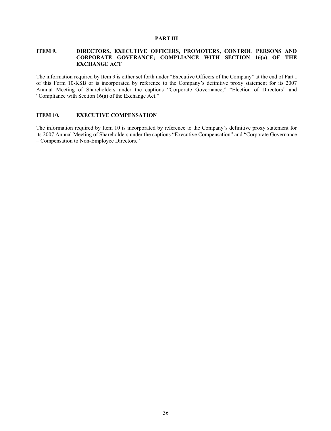#### **PART III**

# **ITEM 9. DIRECTORS, EXECUTIVE OFFICERS, PROMOTERS, CONTROL PERSONS AND CORPORATE GOVERANCE; COMPLIANCE WITH SECTION 16(a) OF THE EXCHANGE ACT**

The information required by Item 9 is either set forth under "Executive Officers of the Company" at the end of Part I of this Form 10-KSB or is incorporated by reference to the Company's definitive proxy statement for its 2007 Annual Meeting of Shareholders under the captions "Corporate Governance," "Election of Directors" and "Compliance with Section 16(a) of the Exchange Act."

### **ITEM 10. EXECUTIVE COMPENSATION**

The information required by Item 10 is incorporated by reference to the Company's definitive proxy statement for its 2007 Annual Meeting of Shareholders under the captions "Executive Compensation" and "Corporate Governance – Compensation to Non-Employee Directors."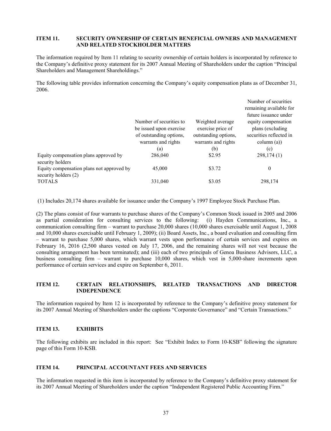# **ITEM 11. SECURITY OWNERSHIP OF CERTAIN BENEFICIAL OWNERS AND MANAGEMENT AND RELATED STOCKHOLDER MATTERS**

The information required by Item 11 relating to security ownership of certain holders is incorporated by reference to the Company's definitive proxy statement for its 2007 Annual Meeting of Shareholders under the caption "Principal Shareholders and Management Shareholdings."

The following table provides information concerning the Company's equity compensation plans as of December 31, 2006.

|                                                                   |                         |                      | Number of securities    |
|-------------------------------------------------------------------|-------------------------|----------------------|-------------------------|
|                                                                   |                         |                      | remaining available for |
|                                                                   |                         |                      | future issuance under   |
|                                                                   | Number of securities to | Weighted average     | equity compensation     |
|                                                                   | be issued upon exercise | exercise price of    | plans (excluding)       |
|                                                                   | of outstanding options, | outstanding options, | securities reflected in |
|                                                                   | warrants and rights     | warrants and rights  | column (a))             |
|                                                                   | (a)                     | (b)                  | (c)                     |
| Equity compensation plans approved by<br>security holders         | 286,040                 | \$2.95               | 298,174 $(1)$           |
| Equity compensation plans not approved by<br>security holders (2) | 45,000                  | \$3.72               | $\theta$                |
| <b>TOTALS</b>                                                     | 331,040                 | \$3.05               | 298,174                 |

(1) Includes 20,174 shares available for issuance under the Company's 1997 Employee Stock Purchase Plan.

(2) The plans consist of four warrants to purchase shares of the Company's Common Stock issued in 2005 and 2006 as partial consideration for consulting services to the following: (i) Hayden Communications, Inc., a communication consulting firm – warrant to purchase 20,000 shares (10,000 shares exercisable until August 1, 2008 and 10,000 shares exercisable until February 1, 2009); (ii) Board Assets, Inc., a board evaluation and consulting firm – warrant to purchase 5,000 shares, which warrant vests upon performance of certain services and expires on February 16, 2016 (2,500 shares vested on July 17, 2006, and the remaining shares will not vest because the consulting arrangement has been terminated); and (iii) each of two principals of Genoa Business Advisors, LLC, a business consulting firm – warrant to purchase 10,000 shares, which vest in 5,000-share increments upon performance of certain services and expire on September 6, 2011.

# **ITEM 12. CERTAIN RELATIONSHIPS, RELATED TRANSACTIONS AND DIRECTOR INDEPENDENCE**

The information required by Item 12 is incorporated by reference to the Company's definitive proxy statement for its 2007 Annual Meeting of Shareholders under the captions "Corporate Governance" and "Certain Transactions."

# **ITEM 13. EXHIBITS**

The following exhibits are included in this report: See "Exhibit Index to Form 10-KSB" following the signature page of this Form 10-KSB.

# **ITEM 14. PRINCIPAL ACCOUNTANT FEES AND SERVICES**

The information requested in this item is incorporated by reference to the Company's definitive proxy statement for its 2007 Annual Meeting of Shareholders under the caption "Independent Registered Public Accounting Firm."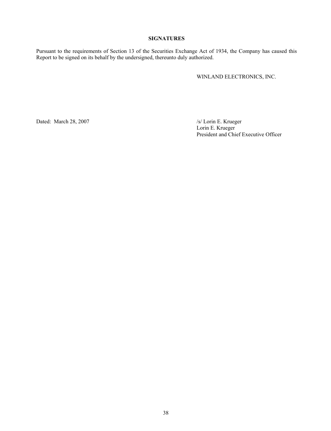# **SIGNATURES**

Pursuant to the requirements of Section 13 of the Securities Exchange Act of 1934, the Company has caused this Report to be signed on its behalf by the undersigned, thereunto duly authorized.

WINLAND ELECTRONICS, INC.

Dated: March 28, 2007

/s/ Lorin E. Krueger<br>Lorin E. Krueger President and Chief Executive Officer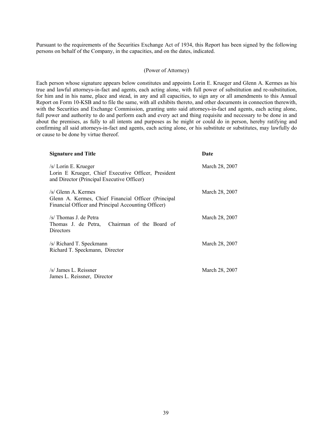Pursuant to the requirements of the Securities Exchange Act of 1934, this Report has been signed by the following persons on behalf of the Company, in the capacities, and on the dates, indicated.

#### (Power of Attorney)

Each person whose signature appears below constitutes and appoints Lorin E. Krueger and Glenn A. Kermes as his true and lawful attorneys-in-fact and agents, each acting alone, with full power of substitution and re-substitution, for him and in his name, place and stead, in any and all capacities, to sign any or all amendments to this Annual Report on Form 10-KSB and to file the same, with all exhibits thereto, and other documents in connection therewith, with the Securities and Exchange Commission, granting unto said attorneys-in-fact and agents, each acting alone, full power and authority to do and perform each and every act and thing requisite and necessary to be done in and about the premises, as fully to all intents and purposes as he might or could do in person, hereby ratifying and confirming all said attorneys-in-fact and agents, each acting alone, or his substitute or substitutes, may lawfully do or cause to be done by virtue thereof.

| <b>Signature and Title</b>                                                                                                        | Date           |
|-----------------------------------------------------------------------------------------------------------------------------------|----------------|
| /s/ Lorin E. Krueger<br>Lorin E Krueger, Chief Executive Officer, President<br>and Director (Principal Executive Officer)         | March 28, 2007 |
| /s/ Glenn A. Kermes<br>Glenn A. Kermes, Chief Financial Officer (Principal<br>Financial Officer and Principal Accounting Officer) | March 28, 2007 |
| /s/ Thomas J. de Petra<br>Thomas J. de Petra, Chairman of the Board of<br>Directors                                               | March 28, 2007 |
| /s/ Richard T. Speckmann<br>Richard T. Speckmann, Director                                                                        | March 28, 2007 |
| /s/ James L. Reissner<br>James L. Reissner, Director                                                                              | March 28, 2007 |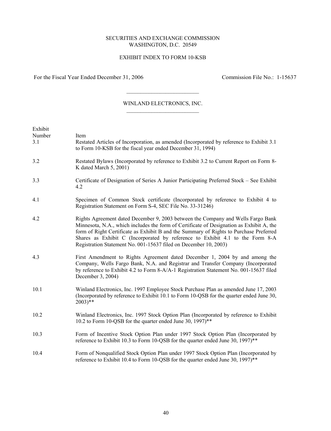# SECURITIES AND EXCHANGE COMMISSION WASHINGTON, D.C. 20549

# EXHIBIT INDEX TO FORM 10-KSB

For the Fiscal Year Ended December 31, 2006 Commission File No.: 1-15637

# WINLAND ELECTRONICS, INC.

\_\_\_\_\_\_\_\_\_\_\_\_\_\_\_\_\_\_\_\_\_\_\_\_\_\_

| Exhibit<br>Number | Item                                                                                                                                                                                                                                                                                                                                                                                                                        |
|-------------------|-----------------------------------------------------------------------------------------------------------------------------------------------------------------------------------------------------------------------------------------------------------------------------------------------------------------------------------------------------------------------------------------------------------------------------|
| 3.1               | Restated Articles of Incorporation, as amended (Incorporated by reference to Exhibit 3.1)<br>to Form 10-KSB for the fiscal year ended December 31, 1994)                                                                                                                                                                                                                                                                    |
| 3.2               | Restated Bylaws (Incorporated by reference to Exhibit 3.2 to Current Report on Form 8-<br>K dated March 5, 2001)                                                                                                                                                                                                                                                                                                            |
| 3.3               | Certificate of Designation of Series A Junior Participating Preferred Stock – See Exhibit<br>4.2                                                                                                                                                                                                                                                                                                                            |
| 4.1               | Specimen of Common Stock certificate (Incorporated by reference to Exhibit 4 to<br>Registration Statement on Form S-4, SEC File No. 33-31246)                                                                                                                                                                                                                                                                               |
| 4.2               | Rights Agreement dated December 9, 2003 between the Company and Wells Fargo Bank<br>Minnesota, N.A., which includes the form of Certificate of Designation as Exhibit A, the<br>form of Right Certificate as Exhibit B and the Summary of Rights to Purchase Preferred<br>Shares as Exhibit C (Incorporated by reference to Exhibit 4.1 to the Form 8-A<br>Registration Statement No. 001-15637 filed on December 10, 2003) |
| 4.3               | First Amendment to Rights Agreement dated December 1, 2004 by and among the<br>Company, Wells Fargo Bank, N.A. and Registrar and Transfer Company (Incorporated<br>by reference to Exhibit 4.2 to Form 8-A/A-1 Registration Statement No. 001-15637 filed<br>December 3, 2004)                                                                                                                                              |
| 10.1              | Winland Electronics, Inc. 1997 Employee Stock Purchase Plan as amended June 17, 2003<br>(Incorporated by reference to Exhibit 10.1 to Form 10-QSB for the quarter ended June 30,<br>$2003$ <sup>**</sup>                                                                                                                                                                                                                    |
| 10.2              | Winland Electronics, Inc. 1997 Stock Option Plan (Incorporated by reference to Exhibit<br>10.2 to Form 10-QSB for the quarter ended June 30, 1997)**                                                                                                                                                                                                                                                                        |
| 10.3              | Form of Incentive Stock Option Plan under 1997 Stock Option Plan (Incorporated by<br>reference to Exhibit 10.3 to Form 10-QSB for the quarter ended June 30, 1997)**                                                                                                                                                                                                                                                        |
| 10.4              | Form of Nonqualified Stock Option Plan under 1997 Stock Option Plan (Incorporated by<br>reference to Exhibit 10.4 to Form 10-QSB for the quarter ended June 30, 1997)**                                                                                                                                                                                                                                                     |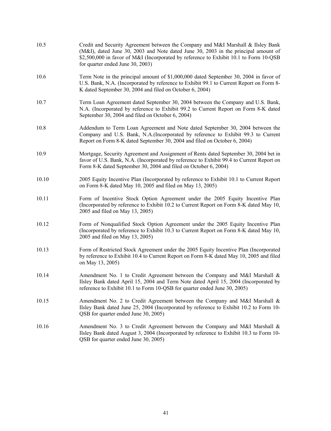| 10.5  | Credit and Security Agreement between the Company and M&I Marshall & Ilsley Bank<br>(M&I), dated June 30, 2003 and Note dated June 30, 2003 in the principal amount of<br>\$2,500,000 in favor of M&I (Incorporated by reference to Exhibit 10.1 to Form 10-QSB<br>for quarter ended June 30, 2003) |
|-------|-----------------------------------------------------------------------------------------------------------------------------------------------------------------------------------------------------------------------------------------------------------------------------------------------------|
| 10.6  | Term Note in the principal amount of \$1,000,000 dated September 30, 2004 in favor of<br>U.S. Bank, N.A. (Incorporated by reference to Exhibit 99.1 to Current Report on Form 8-<br>K dated September 30, 2004 and filed on October 6, 2004)                                                        |
| 10.7  | Term Loan Agreement dated September 30, 2004 between the Company and U.S. Bank,<br>N.A. (Incorporated by reference to Exhibit 99.2 to Current Report on Form 8-K dated<br>September 30, 2004 and filed on October 6, 2004)                                                                          |
| 10.8  | Addendum to Term Loan Agreement and Note dated September 30, 2004 between the<br>Company and U.S. Bank, N.A. (Incorporated by reference to Exhibit 99.3 to Current<br>Report on Form 8-K dated September 30, 2004 and filed on October 6, 2004)                                                     |
| 10.9  | Mortgage, Security Agreement and Assignment of Rents dated September 30, 2004 bet in<br>favor of U.S. Bank, N.A. (Incorporated by reference to Exhibit 99.4 to Current Report on<br>Form 8-K dated September 30, 2004 and filed on October 6, 2004)                                                 |
| 10.10 | 2005 Equity Incentive Plan (Incorporated by reference to Exhibit 10.1 to Current Report<br>on Form 8-K dated May 10, 2005 and filed on May 13, 2005)                                                                                                                                                |
| 10.11 | Form of Incentive Stock Option Agreement under the 2005 Equity Incentive Plan<br>(Incorporated by reference to Exhibit 10.2 to Current Report on Form 8-K dated May 10,<br>2005 and filed on May 13, 2005)                                                                                          |
| 10.12 | Form of Nonqualified Stock Option Agreement under the 2005 Equity Incentive Plan<br>(Incorporated by reference to Exhibit 10.3 to Current Report on Form 8-K dated May 10,<br>2005 and filed on May 13, 2005)                                                                                       |
| 10.13 | Form of Restricted Stock Agreement under the 2005 Equity Incentive Plan (Incorporated<br>by reference to Exhibit 10.4 to Current Report on Form 8-K dated May 10, 2005 and filed<br>on May 13, 2005)                                                                                                |
| 10.14 | Amendment No. 1 to Credit Agreement between the Company and M&I Marshall &<br>Ilsley Bank dated April 15, 2004 and Term Note dated April 15, 2004 (Incorporated by<br>reference to Exhibit 10.1 to Form 10-QSB for quarter ended June 30, 2005)                                                     |
| 10.15 | Amendment No. 2 to Credit Agreement between the Company and M&I Marshall &<br>Ilsley Bank dated June 25, 2004 (Incorporated by reference to Exhibit 10.2 to Form 10-<br>QSB for quarter ended June 30, 2005)                                                                                        |
| 10.16 | Amendment No. 3 to Credit Agreement between the Company and M&I Marshall &<br>Ilsley Bank dated August 3, 2004 (Incorporated by reference to Exhibit 10.3 to Form 10-<br>QSB for quarter ended June 30, 2005)                                                                                       |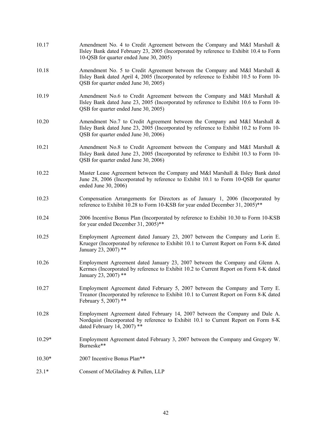- 10.17 Amendment No. 4 to Credit Agreement between the Company and M&I Marshall & Ilsley Bank dated February 23, 2005 (Incorporated by reference to Exhibit 10.4 to Form 10-QSB for quarter ended June 30, 2005)
- 10.18 Amendment No. 5 to Credit Agreement between the Company and M&I Marshall & Ilsley Bank dated April 4, 2005 (Incorporated by reference to Exhibit 10.5 to Form 10- QSB for quarter ended June 30, 2005)
- 10.19 Amendment No.6 to Credit Agreement between the Company and M&I Marshall & Ilsley Bank dated June 23, 2005 (Incorporated by reference to Exhibit 10.6 to Form 10- QSB for quarter ended June 30, 2005)
- 10.20 Amendment No.7 to Credit Agreement between the Company and M&I Marshall & Ilsley Bank dated June 23, 2005 (Incorporated by reference to Exhibit 10.2 to Form 10- QSB for quarter ended June 30, 2006)
- 10.21 Amendment No.8 to Credit Agreement between the Company and M&I Marshall & Ilsley Bank dated June 23, 2005 (Incorporated by reference to Exhibit 10.3 to Form 10- QSB for quarter ended June 30, 2006)
- 10.22 Master Lease Agreement between the Company and M&I Marshall & Ilsley Bank dated June 28, 2006 (Incorporated by reference to Exhibit 10.1 to Form 10-QSB for quarter ended June 30, 2006)
- 10.23 Compensation Arrangements for Directors as of January 1, 2006 (Incorporated by reference to Exhibit 10.28 to Form 10-KSB for year ended December 31, 2005)\*\*
- 10.24 2006 Incentive Bonus Plan (Incorporated by reference to Exhibit 10.30 to Form 10-KSB for year ended December 31, 2005)\*\*
- 10.25 Employment Agreement dated January 23, 2007 between the Company and Lorin E. Krueger (Incorporated by reference to Exhibit 10.1 to Current Report on Form 8-K dated January 23, 2007) \*\*
- 10.26 Employment Agreement dated January 23, 2007 between the Company and Glenn A. Kermes (Incorporated by reference to Exhibit 10.2 to Current Report on Form 8-K dated January 23, 2007) \*\*
- 10.27 Employment Agreement dated February 5, 2007 between the Company and Terry E. Treanor (Incorporated by reference to Exhibit 10.1 to Current Report on Form 8-K dated February 5, 2007) \*\*
- 10.28 Employment Agreement dated February 14, 2007 between the Company and Dale A. Nordquist (Incorporated by reference to Exhibit 10.1 to Current Report on Form 8-K dated February 14, 2007) \*\*
- 10.29\* Employment Agreement dated February 3, 2007 between the Company and Gregory W. Burneske\*\*
- 10.30\* 2007 Incentive Bonus Plan\*\*
- 23.1\* Consent of McGladrey & Pullen, LLP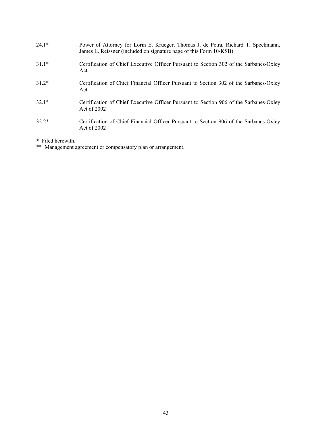| $24.1*$ | Power of Attorney for Lorin E. Krueger, Thomas J. de Petra, Richard T. Speckmann,<br>James L. Reissner (included on signature page of this Form 10-KSB) |
|---------|---------------------------------------------------------------------------------------------------------------------------------------------------------|
| $31.1*$ | Certification of Chief Executive Officer Pursuant to Section 302 of the Sarbanes-Oxley<br>Act                                                           |
| $31.2*$ | Certification of Chief Financial Officer Pursuant to Section 302 of the Sarbanes-Oxley<br>Act                                                           |
| $321*$  | Certification of Chief Executive Officer Pursuant to Section 906 of the Sarbanes-Oxley<br>Act of 2002                                                   |
| $32.2*$ | Certification of Chief Financial Officer Pursuant to Section 906 of the Sarbanes-Oxley<br>Act of 2002                                                   |

\* Filed herewith.

\*\* Management agreement or compensatory plan or arrangement.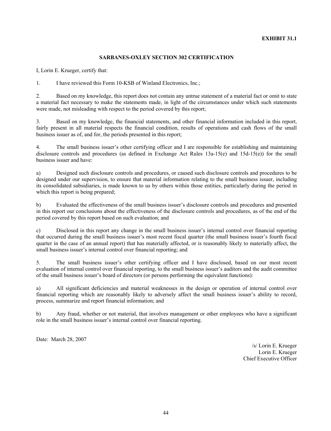# **EXHIBIT 31.1**

# **SARBANES-OXLEY SECTION 302 CERTIFICATION**

I, Lorin E. Krueger, certify that:

1. I have reviewed this Form 10-KSB of Winland Electronics, Inc.;

2. Based on my knowledge, this report does not contain any untrue statement of a material fact or omit to state a material fact necessary to make the statements made, in light of the circumstances under which such statements were made, not misleading with respect to the period covered by this report;

3. Based on my knowledge, the financial statements, and other financial information included in this report, fairly present in all material respects the financial condition, results of operations and cash flows of the small business issuer as of, and for, the periods presented in this report;

4. The small business issuer's other certifying officer and I are responsible for establishing and maintaining disclosure controls and procedures (as defined in Exchange Act Rules 13a-15(e) and 15d-15(e)) for the small business issuer and have:

a) Designed such disclosure controls and procedures, or caused such disclosure controls and procedures to be designed under our supervision, to ensure that material information relating to the small business issuer, including its consolidated subsidiaries, is made known to us by others within those entities, particularly during the period in which this report is being prepared;

b) Evaluated the effectiveness of the small business issuer's disclosure controls and procedures and presented in this report our conclusions about the effectiveness of the disclosure controls and procedures, as of the end of the period covered by this report based on such evaluation; and

c) Disclosed in this report any change in the small business issuer's internal control over financial reporting that occurred during the small business issuer's most recent fiscal quarter (the small business issuer's fourth fiscal quarter in the case of an annual report) that has materially affected, or is reasonably likely to materially affect, the small business issuer's internal control over financial reporting; and

5. The small business issuer's other certifying officer and I have disclosed, based on our most recent evaluation of internal control over financial reporting, to the small business issuer's auditors and the audit committee of the small business issuer's board of directors (or persons performing the equivalent functions):

a) All significant deficiencies and material weaknesses in the design or operation of internal control over financial reporting which are reasonably likely to adversely affect the small business issuer's ability to record, process, summarize and report financial information; and

b) Any fraud, whether or not material, that involves management or other employees who have a significant role in the small business issuer's internal control over financial reporting.

Date: March 28, 2007

/s/ Lorin E. Krueger Lorin E. Krueger Chief Executive Officer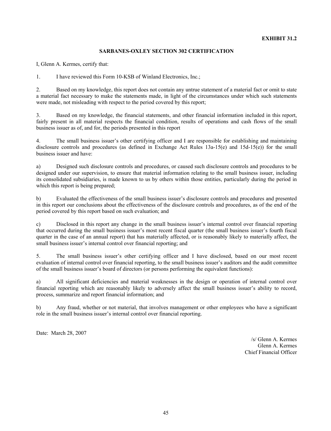# **SARBANES-OXLEY SECTION 302 CERTIFICATION**

I, Glenn A. Kermes, certify that:

1. I have reviewed this Form 10-KSB of Winland Electronics, Inc.;

2. Based on my knowledge, this report does not contain any untrue statement of a material fact or omit to state a material fact necessary to make the statements made, in light of the circumstances under which such statements were made, not misleading with respect to the period covered by this report;

3. Based on my knowledge, the financial statements, and other financial information included in this report, fairly present in all material respects the financial condition, results of operations and cash flows of the small business issuer as of, and for, the periods presented in this report

4. The small business issuer's other certifying officer and I are responsible for establishing and maintaining disclosure controls and procedures (as defined in Exchange Act Rules 13a-15(e) and 15d-15(e)) for the small business issuer and have:

a) Designed such disclosure controls and procedures, or caused such disclosure controls and procedures to be designed under our supervision, to ensure that material information relating to the small business issuer, including its consolidated subsidiaries, is made known to us by others within those entities, particularly during the period in which this report is being prepared;

b) Evaluated the effectiveness of the small business issuer's disclosure controls and procedures and presented in this report our conclusions about the effectiveness of the disclosure controls and procedures, as of the end of the period covered by this report based on such evaluation; and

c) Disclosed in this report any change in the small business issuer's internal control over financial reporting that occurred during the small business issuer's most recent fiscal quarter (the small business issuer's fourth fiscal quarter in the case of an annual report) that has materially affected, or is reasonably likely to materially affect, the small business issuer's internal control over financial reporting; and

5. The small business issuer's other certifying officer and I have disclosed, based on our most recent evaluation of internal control over financial reporting, to the small business issuer's auditors and the audit committee of the small business issuer's board of directors (or persons performing the equivalent functions):

a) All significant deficiencies and material weaknesses in the design or operation of internal control over financial reporting which are reasonably likely to adversely affect the small business issuer's ability to record, process, summarize and report financial information; and

b) Any fraud, whether or not material, that involves management or other employees who have a significant role in the small business issuer's internal control over financial reporting.

Date: March 28, 2007

/s/ Glenn A. Kermes Glenn A. Kermes Chief Financial Officer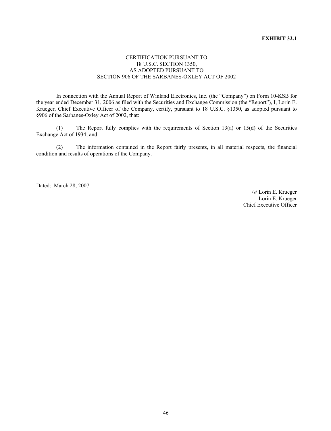# CERTIFICATION PURSUANT TO 18 U.S.C. SECTION 1350, AS ADOPTED PURSUANT TO SECTION 906 OF THE SARBANES-OXLEY ACT OF 2002

 In connection with the Annual Report of Winland Electronics, Inc. (the "Company") on Form 10-KSB for the year ended December 31, 2006 as filed with the Securities and Exchange Commission (the "Report"), I, Lorin E. Krueger, Chief Executive Officer of the Company, certify, pursuant to 18 U.S.C. §1350, as adopted pursuant to §906 of the Sarbanes-Oxley Act of 2002, that:

 (1) The Report fully complies with the requirements of Section 13(a) or 15(d) of the Securities Exchange Act of 1934; and

 (2) The information contained in the Report fairly presents, in all material respects, the financial condition and results of operations of the Company.

Dated: March 28, 2007

/s/ Lorin E. Krueger Lorin E. Krueger Chief Executive Officer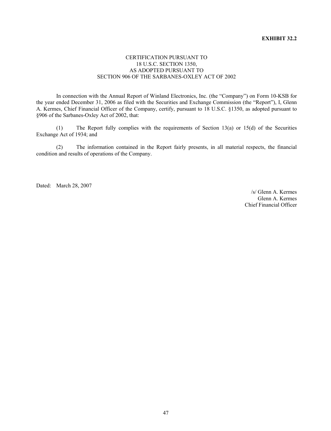# CERTIFICATION PURSUANT TO 18 U.S.C. SECTION 1350, AS ADOPTED PURSUANT TO SECTION 906 OF THE SARBANES-OXLEY ACT OF 2002

 In connection with the Annual Report of Winland Electronics, Inc. (the "Company") on Form 10-KSB for the year ended December 31, 2006 as filed with the Securities and Exchange Commission (the "Report"), I, Glenn A. Kermes, Chief Financial Officer of the Company, certify, pursuant to 18 U.S.C. §1350, as adopted pursuant to §906 of the Sarbanes-Oxley Act of 2002, that:

 (1) The Report fully complies with the requirements of Section 13(a) or 15(d) of the Securities Exchange Act of 1934; and

 (2) The information contained in the Report fairly presents, in all material respects, the financial condition and results of operations of the Company.

Dated: March 28, 2007

/s/ Glenn A. Kermes Glenn A. Kermes Chief Financial Officer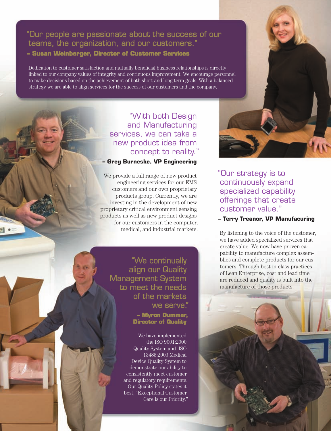# "Our people are passionate about the success of our teams, the organization, and our customers."

# **- Susan Weinberger, Director of Customer Services**

Dedication to customer satisfaction and mutually beneficial business relationships is directly linked to our company values of integrity and continuous improvement. We encourage personnel to make decisions based on the achievement of both short and long term goals. With a balanced strategy we are able to align services for the success of our customers and the company.

# "With both Design and Manufacturing services, we can take a new product idea from concept to reality."

# **– Greg Burneske, VP Engineering**

We provide a full range of new product engineering services for our EMS customers and our own proprietary products group. Currently, we are investing in the development of new proprietary critical environment sensing products as well as new product designs for our customers in the computer, medical, and industrial markets.

> "We continually align our Quality Management System to meet the needs of the markets we serve."

> > **– Myron Dummer, Director of Quality irector**

We have implemented the ISO 9001:2000 Quality System and ISO 13485:2003 Medical Device Quality System to demonstrate our ability to consistently meet customer and regulatory requirements. Our Quality Policy states it best, "Exceptional Customer Care is our Priority." "Our strategy is to continuously expand specialized capability offerings that create customer value."

# **– Terry Treanor, VP Manufacuring**

By listening to the voice of the customer, we have added specialized services that create value. We now have proven capability to manufacture complex assemblies and complete products for our customers. Through best in class practices of Lean Enterprise, cost and lead time are reduced and quality is built into the manufacture of those products.